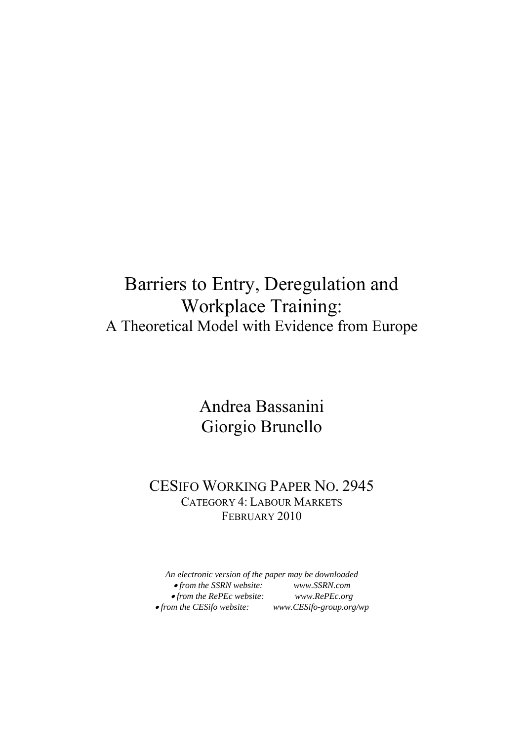## Barriers to Entry, Deregulation and Workplace Training: A Theoretical Model with Evidence from Europe

### Andrea Bassanini Giorgio Brunello

### CESIFO WORKING PAPER NO. 2945 CATEGORY 4: LABOUR MARKETS FEBRUARY 2010

*An electronic version of the paper may be downloaded*  • *from the SSRN website: www.SSRN.com*  • *from the RePEc website: www.RePEc.org*   $• from the CES if o website:$  *www.CESifo-group.org/wp*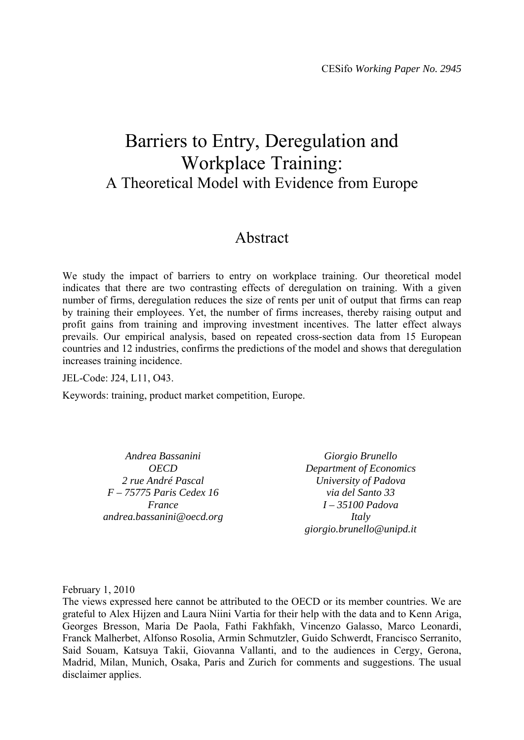## Barriers to Entry, Deregulation and Workplace Training: A Theoretical Model with Evidence from Europe

### Abstract

We study the impact of barriers to entry on workplace training. Our theoretical model indicates that there are two contrasting effects of deregulation on training. With a given number of firms, deregulation reduces the size of rents per unit of output that firms can reap by training their employees. Yet, the number of firms increases, thereby raising output and profit gains from training and improving investment incentives. The latter effect always prevails. Our empirical analysis, based on repeated cross-section data from 15 European countries and 12 industries, confirms the predictions of the model and shows that deregulation increases training incidence.

JEL-Code: J24, L11, O43.

Keywords: training, product market competition, Europe.

*Andrea Bassanini OECD 2 rue André Pascal F – 75775 Paris Cedex 16 France andrea.bassanini@oecd.org* 

*Giorgio Brunello Department of Economics University of Padova via del Santo 33 I – 35100 Padova Italy giorgio.brunello@unipd.it* 

February 1, 2010

The views expressed here cannot be attributed to the OECD or its member countries. We are grateful to Alex Hijzen and Laura Niini Vartia for their help with the data and to Kenn Ariga, Georges Bresson, Maria De Paola, Fathi Fakhfakh, Vincenzo Galasso, Marco Leonardi, Franck Malherbet, Alfonso Rosolia, Armin Schmutzler, Guido Schwerdt, Francisco Serranito, Said Souam, Katsuya Takii, Giovanna Vallanti, and to the audiences in Cergy, Gerona, Madrid, Milan, Munich, Osaka, Paris and Zurich for comments and suggestions. The usual disclaimer applies.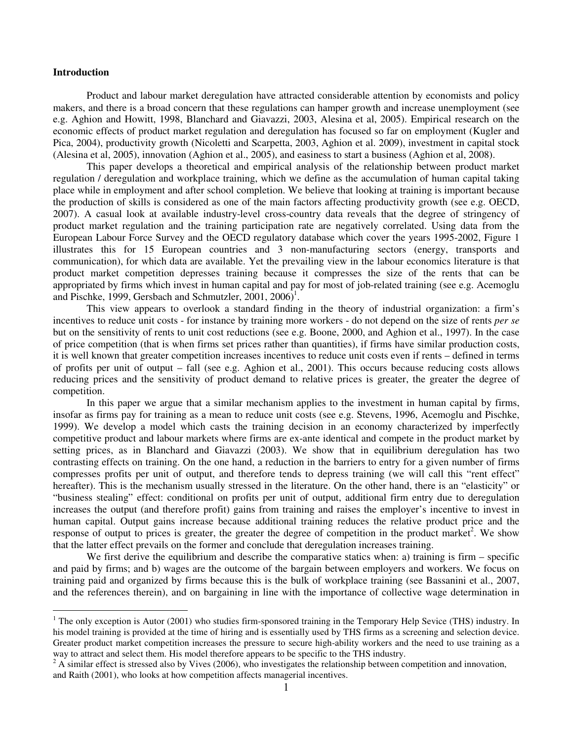#### **Introduction**

 $\overline{a}$ 

Product and labour market deregulation have attracted considerable attention by economists and policy makers, and there is a broad concern that these regulations can hamper growth and increase unemployment (see e.g. Aghion and Howitt, 1998, Blanchard and Giavazzi, 2003, Alesina et al, 2005). Empirical research on the economic effects of product market regulation and deregulation has focused so far on employment (Kugler and Pica, 2004), productivity growth (Nicoletti and Scarpetta, 2003, Aghion et al. 2009), investment in capital stock (Alesina et al, 2005), innovation (Aghion et al., 2005), and easiness to start a business (Aghion et al, 2008).

This paper develops a theoretical and empirical analysis of the relationship between product market regulation / deregulation and workplace training, which we define as the accumulation of human capital taking place while in employment and after school completion. We believe that looking at training is important because the production of skills is considered as one of the main factors affecting productivity growth (see e.g. OECD, 2007). A casual look at available industry-level cross-country data reveals that the degree of stringency of product market regulation and the training participation rate are negatively correlated. Using data from the European Labour Force Survey and the OECD regulatory database which cover the years 1995-2002, Figure 1 illustrates this for 15 European countries and 3 non-manufacturing sectors (energy, transports and communication), for which data are available. Yet the prevailing view in the labour economics literature is that product market competition depresses training because it compresses the size of the rents that can be appropriated by firms which invest in human capital and pay for most of job-related training (see e.g. Acemoglu and Pischke, 1999, Gersbach and Schmutzler,  $2001, 2006$ <sup>1</sup>.

This view appears to overlook a standard finding in the theory of industrial organization: a firm's incentives to reduce unit costs - for instance by training more workers - do not depend on the size of rents *per se* but on the sensitivity of rents to unit cost reductions (see e.g. Boone, 2000, and Aghion et al., 1997). In the case of price competition (that is when firms set prices rather than quantities), if firms have similar production costs, it is well known that greater competition increases incentives to reduce unit costs even if rents – defined in terms of profits per unit of output – fall (see e.g. Aghion et al., 2001). This occurs because reducing costs allows reducing prices and the sensitivity of product demand to relative prices is greater, the greater the degree of competition.

In this paper we argue that a similar mechanism applies to the investment in human capital by firms, insofar as firms pay for training as a mean to reduce unit costs (see e.g. Stevens, 1996, Acemoglu and Pischke, 1999). We develop a model which casts the training decision in an economy characterized by imperfectly competitive product and labour markets where firms are ex-ante identical and compete in the product market by setting prices, as in Blanchard and Giavazzi (2003). We show that in equilibrium deregulation has two contrasting effects on training. On the one hand, a reduction in the barriers to entry for a given number of firms compresses profits per unit of output, and therefore tends to depress training (we will call this "rent effect" hereafter). This is the mechanism usually stressed in the literature. On the other hand, there is an "elasticity" or "business stealing" effect: conditional on profits per unit of output, additional firm entry due to deregulation increases the output (and therefore profit) gains from training and raises the employer's incentive to invest in human capital. Output gains increase because additional training reduces the relative product price and the response of output to prices is greater, the greater the degree of competition in the product market<sup>2</sup>. We show that the latter effect prevails on the former and conclude that deregulation increases training.

We first derive the equilibrium and describe the comparative statics when: a) training is firm – specific and paid by firms; and b) wages are the outcome of the bargain between employers and workers. We focus on training paid and organized by firms because this is the bulk of workplace training (see Bassanini et al., 2007, and the references therein), and on bargaining in line with the importance of collective wage determination in

 $1$  The only exception is Autor (2001) who studies firm-sponsored training in the Temporary Help Sevice (THS) industry. In his model training is provided at the time of hiring and is essentially used by THS firms as a screening and selection device. Greater product market competition increases the pressure to secure high-ability workers and the need to use training as a way to attract and select them. His model therefore appears to be specific to the THS industry.

 $2 \text{ A similar effect is stressed also by Vives (2006), who investigates the relationship between competition and innovation, }$ and Raith (2001), who looks at how competition affects managerial incentives.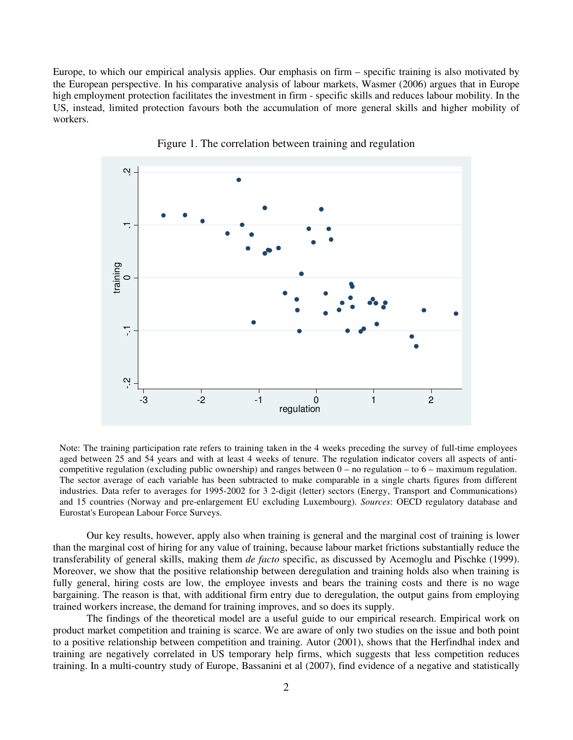Europe, to which our empirical analysis applies. Our emphasis on firm – specific training is also motivated by the European perspective. In his comparative analysis of labour markets, Wasmer (2006) argues that in Europe high employment protection facilitates the investment in firm - specific skills and reduces labour mobility. In the US, instead, limited protection favours both the accumulation of more general skills and higher mobility of workers.





Note: The training participation rate refers to training taken in the 4 weeks preceding the survey of full-time employees aged between 25 and 54 years and with at least 4 weeks of tenure. The regulation indicator covers all aspects of anticompetitive regulation (excluding public ownership) and ranges between  $0 -$  no regulation – to  $6 -$  maximum regulation. The sector average of each variable has been subtracted to make comparable in a single charts figures from different industries. Data refer to averages for 1995-2002 for 3 2-digit (letter) sectors (Energy, Transport and Communications) and 15 countries (Norway and pre-enlargement EU excluding Luxembourg). *Sources*: OECD regulatory database and Eurostat's European Labour Force Surveys.

Our key results, however, apply also when training is general and the marginal cost of training is lower than the marginal cost of hiring for any value of training, because labour market frictions substantially reduce the transferability of general skills, making them *de facto* specific, as discussed by Acemoglu and Pischke (1999). Moreover, we show that the positive relationship between deregulation and training holds also when training is fully general, hiring costs are low, the employee invests and bears the training costs and there is no wage bargaining. The reason is that, with additional firm entry due to deregulation, the output gains from employing trained workers increase, the demand for training improves, and so does its supply.

The findings of the theoretical model are a useful guide to our empirical research. Empirical work on product market competition and training is scarce. We are aware of only two studies on the issue and both point to a positive relationship between competition and training. Autor (2001), shows that the Herfindhal index and training are negatively correlated in US temporary help firms, which suggests that less competition reduces training. In a multi-country study of Europe, Bassanini et al (2007), find evidence of a negative and statistically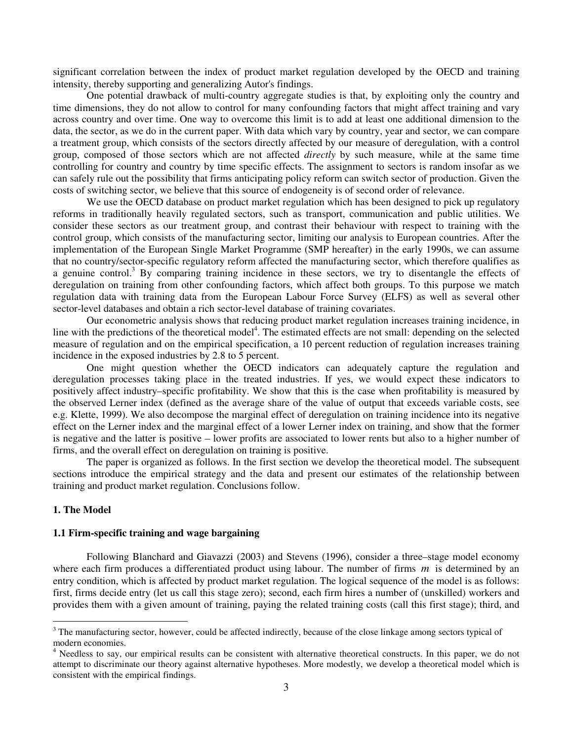significant correlation between the index of product market regulation developed by the OECD and training intensity, thereby supporting and generalizing Autor's findings.

One potential drawback of multi-country aggregate studies is that, by exploiting only the country and time dimensions, they do not allow to control for many confounding factors that might affect training and vary across country and over time. One way to overcome this limit is to add at least one additional dimension to the data, the sector, as we do in the current paper. With data which vary by country, year and sector, we can compare a treatment group, which consists of the sectors directly affected by our measure of deregulation, with a control group, composed of those sectors which are not affected *directly* by such measure, while at the same time controlling for country and country by time specific effects. The assignment to sectors is random insofar as we can safely rule out the possibility that firms anticipating policy reform can switch sector of production. Given the costs of switching sector, we believe that this source of endogeneity is of second order of relevance.

We use the OECD database on product market regulation which has been designed to pick up regulatory reforms in traditionally heavily regulated sectors, such as transport, communication and public utilities. We consider these sectors as our treatment group, and contrast their behaviour with respect to training with the control group, which consists of the manufacturing sector, limiting our analysis to European countries. After the implementation of the European Single Market Programme (SMP hereafter) in the early 1990s, we can assume that no country/sector-specific regulatory reform affected the manufacturing sector, which therefore qualifies as a genuine control.<sup>3</sup> By comparing training incidence in these sectors, we try to disentangle the effects of deregulation on training from other confounding factors, which affect both groups. To this purpose we match regulation data with training data from the European Labour Force Survey (ELFS) as well as several other sector-level databases and obtain a rich sector-level database of training covariates.

Our econometric analysis shows that reducing product market regulation increases training incidence, in line with the predictions of the theoretical model<sup>4</sup>. The estimated effects are not small: depending on the selected measure of regulation and on the empirical specification, a 10 percent reduction of regulation increases training incidence in the exposed industries by 2.8 to 5 percent.

One might question whether the OECD indicators can adequately capture the regulation and deregulation processes taking place in the treated industries. If yes, we would expect these indicators to positively affect industry–specific profitability. We show that this is the case when profitability is measured by the observed Lerner index (defined as the average share of the value of output that exceeds variable costs, see e.g. Klette, 1999). We also decompose the marginal effect of deregulation on training incidence into its negative effect on the Lerner index and the marginal effect of a lower Lerner index on training, and show that the former is negative and the latter is positive – lower profits are associated to lower rents but also to a higher number of firms, and the overall effect on deregulation on training is positive.

The paper is organized as follows. In the first section we develop the theoretical model. The subsequent sections introduce the empirical strategy and the data and present our estimates of the relationship between training and product market regulation. Conclusions follow.

#### **1. The Model**

 $\overline{a}$ 

#### **1.1 Firm-specific training and wage bargaining**

Following Blanchard and Giavazzi (2003) and Stevens (1996), consider a three–stage model economy where each firm produces a differentiated product using labour. The number of firms *m* is determined by an entry condition, which is affected by product market regulation. The logical sequence of the model is as follows: first, firms decide entry (let us call this stage zero); second, each firm hires a number of (unskilled) workers and provides them with a given amount of training, paying the related training costs (call this first stage); third, and

 $3$  The manufacturing sector, however, could be affected indirectly, because of the close linkage among sectors typical of modern economies.

<sup>&</sup>lt;sup>4</sup> Needless to say, our empirical results can be consistent with alternative theoretical constructs. In this paper, we do not attempt to discriminate our theory against alternative hypotheses. More modestly, we develop a theoretical model which is consistent with the empirical findings.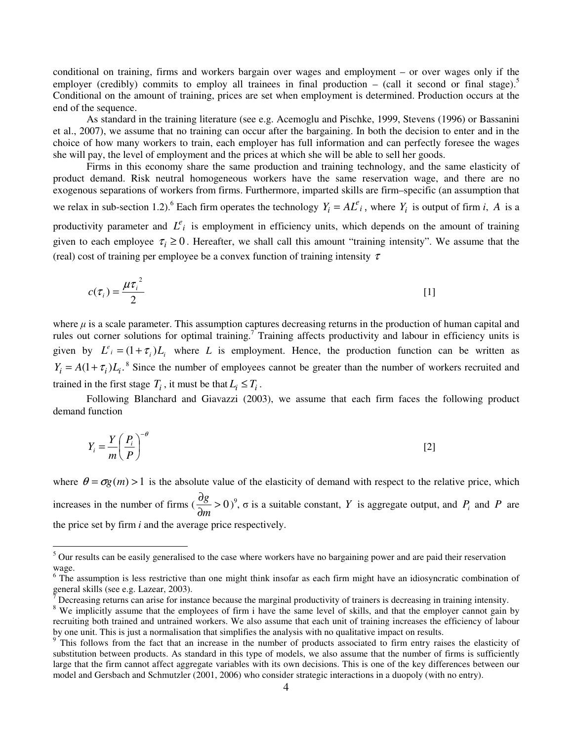conditional on training, firms and workers bargain over wages and employment – or over wages only if the employer (credibly) commits to employ all trainees in final production – (call it second or final stage).<sup>5</sup> Conditional on the amount of training, prices are set when employment is determined. Production occurs at the end of the sequence.

As standard in the training literature (see e.g. Acemoglu and Pischke, 1999, Stevens (1996) or Bassanini et al., 2007), we assume that no training can occur after the bargaining. In both the decision to enter and in the choice of how many workers to train, each employer has full information and can perfectly foresee the wages she will pay, the level of employment and the prices at which she will be able to sell her goods.

Firms in this economy share the same production and training technology, and the same elasticity of product demand. Risk neutral homogeneous workers have the same reservation wage, and there are no exogenous separations of workers from firms. Furthermore, imparted skills are firm–specific (an assumption that we relax in sub-section 1.2).<sup>6</sup> Each firm operates the technology  $Y_i = A L^e_i$ , where  $Y_i$  is output of firm *i*, *A* is a

productivity parameter and  $L^e$  is employment in efficiency units, which depends on the amount of training given to each employee  $\tau_i \geq 0$ . Hereafter, we shall call this amount "training intensity". We assume that the (real) cost of training per employee be a convex function of training intensity  $\tau$ 

$$
c(\tau_i) = \frac{\mu \tau_i^2}{2} \tag{1}
$$

where  $\mu$  is a scale parameter. This assumption captures decreasing returns in the production of human capital and rules out corner solutions for optimal training.<sup>7</sup> Training affects productivity and labour in efficiency units is given by  $L^e_i = (1 + \tau_i)L_i$  where *L* is employment. Hence, the production function can be written as  $Y_i = A(1 + \tau_i)L_i$ .<sup>8</sup> Since the number of employees cannot be greater than the number of workers recruited and trained in the first stage  $T_i$ , it must be that  $L_i \leq T_i$ .

Following Blanchard and Giavazzi (2003), we assume that each firm faces the following product demand function

$$
Y_i = \frac{Y}{m} \left(\frac{P_i}{P}\right)^{-\theta} \tag{2}
$$

where  $\theta = \sigma g(m) > 1$  is the absolute value of the elasticity of demand with respect to the relative price, which increases in the number of firms  $\left(\frac{\sigma}{\gamma}\right) > 0$ ∂ ∂ *m*  $\frac{g}{g} > 0$ ,  $\sigma$  is a suitable constant, *Y* is aggregate output, and *P<sub>i</sub>* and *P* are the price set by firm *i* and the average price respectively.

<sup>&</sup>lt;sup>5</sup> Our results can be easily generalised to the case where workers have no bargaining power and are paid their reservation wage.

<sup>&</sup>lt;sup>6</sup> The assumption is less restrictive than one might think insofar as each firm might have an idiosyncratic combination of general skills (see e.g. Lazear, 2003).<br><sup>7</sup> Decreesing returns on erise for instal

Decreasing returns can arise for instance because the marginal productivity of trainers is decreasing in training intensity.

<sup>&</sup>lt;sup>8</sup> We implicitly assume that the employees of firm i have the same level of skills, and that the employer cannot gain by recruiting both trained and untrained workers. We also assume that each unit of training increases the efficiency of labour by one unit. This is just a normalisation that simplifies the analysis with no qualitative impact on results.

 $9$ <sup>9</sup> This follows from the fact that an increase in the number of products associated to firm entry raises the elasticity of substitution between products. As standard in this type of models, we also assume that the number of firms is sufficiently large that the firm cannot affect aggregate variables with its own decisions. This is one of the key differences between our model and Gersbach and Schmutzler (2001, 2006) who consider strategic interactions in a duopoly (with no entry).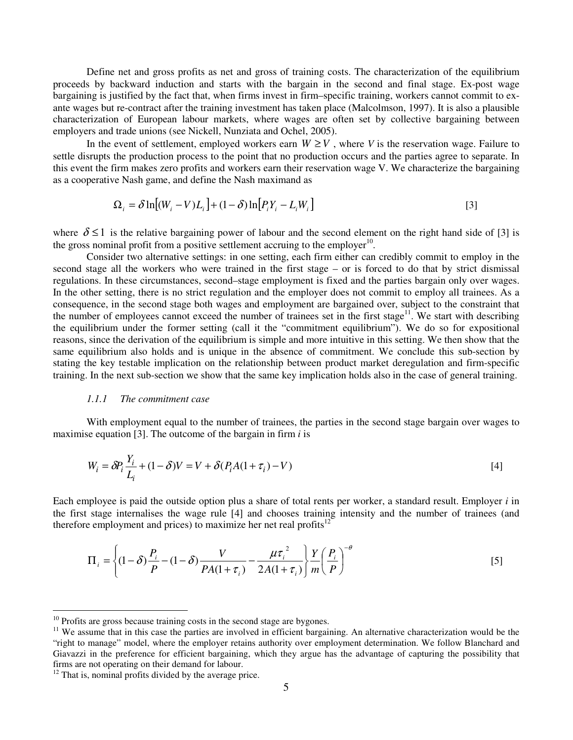Define net and gross profits as net and gross of training costs. The characterization of the equilibrium proceeds by backward induction and starts with the bargain in the second and final stage. Ex-post wage bargaining is justified by the fact that, when firms invest in firm–specific training, workers cannot commit to exante wages but re-contract after the training investment has taken place (Malcolmson, 1997). It is also a plausible characterization of European labour markets, where wages are often set by collective bargaining between employers and trade unions (see Nickell, Nunziata and Ochel, 2005).

In the event of settlement, employed workers earn  $W \geq V$ , where *V* is the reservation wage. Failure to settle disrupts the production process to the point that no production occurs and the parties agree to separate. In this event the firm makes zero profits and workers earn their reservation wage V. We characterize the bargaining as a cooperative Nash game, and define the Nash maximand as

$$
\Omega_i = \delta \ln \left[ (W_i - V) L_i \right] + (1 - \delta) \ln \left[ P_i Y_i - L_i W_i \right] \tag{3}
$$

where  $\delta \leq 1$  is the relative bargaining power of labour and the second element on the right hand side of [3] is the gross nominal profit from a positive settlement accruing to the employer $10$ .

 Consider two alternative settings: in one setting, each firm either can credibly commit to employ in the second stage all the workers who were trained in the first stage – or is forced to do that by strict dismissal regulations. In these circumstances, second–stage employment is fixed and the parties bargain only over wages. In the other setting, there is no strict regulation and the employer does not commit to employ all trainees. As a consequence, in the second stage both wages and employment are bargained over, subject to the constraint that the number of employees cannot exceed the number of trainees set in the first stage<sup>11</sup>. We start with describing the equilibrium under the former setting (call it the "commitment equilibrium"). We do so for expositional reasons, since the derivation of the equilibrium is simple and more intuitive in this setting. We then show that the same equilibrium also holds and is unique in the absence of commitment. We conclude this sub-section by stating the key testable implication on the relationship between product market deregulation and firm-specific training. In the next sub-section we show that the same key implication holds also in the case of general training.

#### *1.1.1 The commitment case*

With employment equal to the number of trainees, the parties in the second stage bargain over wages to maximise equation [3]. The outcome of the bargain in firm *i* is

$$
W_i = \delta P_i \frac{Y_i}{L_i} + (1 - \delta)V = V + \delta(P_i A (1 + \tau_i) - V)
$$
\n<sup>(4)</sup>

Each employee is paid the outside option plus a share of total rents per worker, a standard result. Employer *i* in the first stage internalises the wage rule [4] and chooses training intensity and the number of trainees (and therefore employment and prices) to maximize her net real profits $12$ 

$$
\Pi_i = \left\{ (1-\delta) \frac{P_i}{P} - (1-\delta) \frac{V}{PA(1+\tau_i)} - \frac{\mu \tau_i^2}{2A(1+\tau_i)} \right\} \frac{Y}{m} \left( \frac{P_i}{P} \right)^{-\theta} \tag{5}
$$

 $\overline{a}$ 

 $10$  Profits are gross because training costs in the second stage are bygones.

<sup>&</sup>lt;sup>11</sup> We assume that in this case the parties are involved in efficient bargaining. An alternative characterization would be the "right to manage" model, where the employer retains authority over employment determination. We follow Blanchard and Giavazzi in the preference for efficient bargaining, which they argue has the advantage of capturing the possibility that firms are not operating on their demand for labour.

 $12$  That is, nominal profits divided by the average price.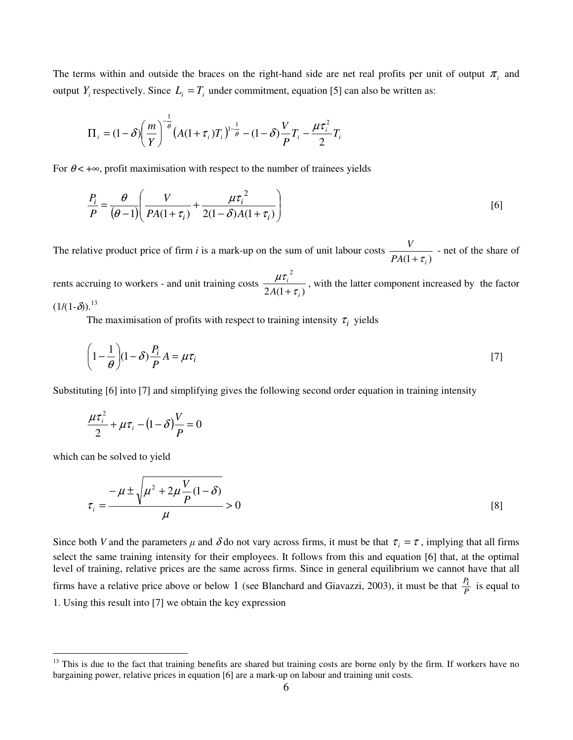The terms within and outside the braces on the right-hand side are net real profits per unit of output  $\pi$ <sub>*i*</sub> and output  $Y_i$  respectively. Since  $L_i = T_i$  under commitment, equation [5] can also be written as:

$$
\Pi_{i} = (1 - \delta) \left(\frac{m}{Y}\right)^{-\frac{1}{\theta}} \left(A(1 + \tau_{i})T_{i}\right)^{1-\frac{1}{\theta}} - (1 - \delta) \frac{V}{P} T_{i} - \frac{\mu \tau_{i}^{2}}{2} T_{i}
$$

For  $\theta$ < + $\infty$ , profit maximisation with respect to the number of trainees yields

$$
\frac{P_i}{P} = \frac{\theta}{(\theta - 1)} \left( \frac{V}{PA(1 + \tau_i)} + \frac{\mu \tau_i^2}{2(1 - \delta)A(1 + \tau_i)} \right)
$$
 [6]

The relative product price of firm *i* is a mark-up on the sum of unit labour costs  $PA(1 + \tau_i)$ *V*  $+ \tau$ - net of the share of

rents accruing to workers - and unit training costs  $2A(1+\tau_i)$ 2 *i i*  $A(1+\tau)$ µτ + , with the latter component increased by the factor  $(1/(1-\delta)).^{13}$ 

The maximisation of profits with respect to training intensity  $\tau_i$  yields

$$
\left(1 - \frac{1}{\theta}\right)(1 - \delta)\frac{P_i}{P}A = \mu\tau_i
$$

Substituting [6] into [7] and simplifying gives the following second order equation in training intensity

$$
\frac{\mu\tau_i^2}{2} + \mu\tau_i - (1 - \delta)\frac{V}{P} = 0
$$

which can be solved to yield

 $\overline{a}$ 

$$
\tau_i = \frac{-\mu \pm \sqrt{\mu^2 + 2\mu \frac{V}{P}(1-\delta)}}{\mu} > 0
$$
\n<sup>(8)</sup>

Since both *V* and the parameters  $\mu$  and  $\delta$  do not vary across firms, it must be that  $\tau_i = \tau$ , implying that all firms select the same training intensity for their employees. It follows from this and equation [6] that, at the optimal level of training, relative prices are the same across firms. Since in general equilibrium we cannot have that all firms have a relative price above or below 1 (see Blanchard and Giavazzi, 2003), it must be that  $\frac{P_i}{P}$  is equal to 1. Using this result into [7] we obtain the key expression

<sup>&</sup>lt;sup>13</sup> This is due to the fact that training benefits are shared but training costs are borne only by the firm. If workers have no bargaining power, relative prices in equation [6] are a mark-up on labour and training unit costs.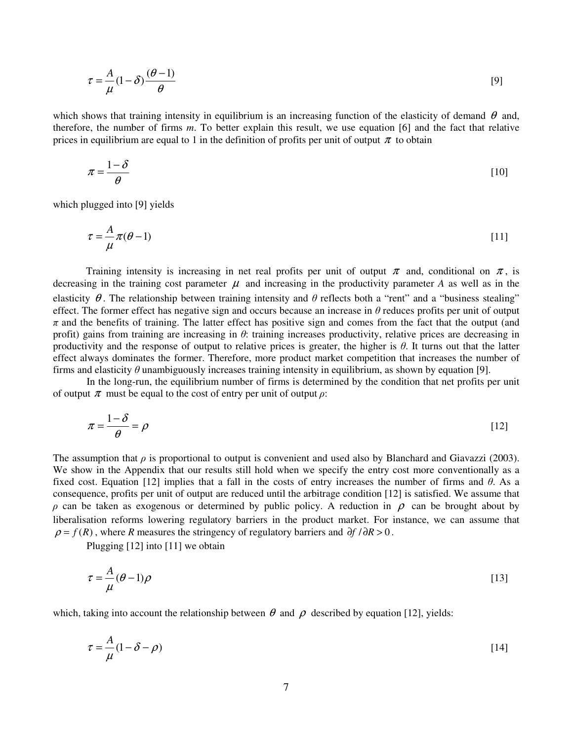$$
\tau = \frac{A}{\mu} (1 - \delta) \frac{(\theta - 1)}{\theta} \tag{9}
$$

which shows that training intensity in equilibrium is an increasing function of the elasticity of demand  $\theta$  and, therefore, the number of firms *m*. To better explain this result, we use equation [6] and the fact that relative prices in equilibrium are equal to 1 in the definition of profits per unit of output  $\pi$  to obtain

$$
\pi = \frac{1 - \delta}{\theta} \tag{10}
$$

which plugged into [9] yields

$$
\tau = -\frac{A}{\mu}\pi(\theta - 1) \tag{11}
$$

Training intensity is increasing in net real profits per unit of output  $\pi$  and, conditional on  $\pi$ , is decreasing in the training cost parameter  $\mu$  and increasing in the productivity parameter *A* as well as in the elasticity  $\theta$ . The relationship between training intensity and  $\theta$  reflects both a "rent" and a "business stealing" effect. The former effect has negative sign and occurs because an increase in  $\theta$  reduces profits per unit of output  $\pi$  and the benefits of training. The latter effect has positive sign and comes from the fact that the output (and profit) gains from training are increasing in  $\theta$ : training increases productivity, relative prices are decreasing in productivity and the response of output to relative prices is greater, the higher is  $\theta$ . It turns out that the latter effect always dominates the former. Therefore, more product market competition that increases the number of firms and elasticity  $\theta$  unambiguously increases training intensity in equilibrium, as shown by equation [9].

 In the long-run, the equilibrium number of firms is determined by the condition that net profits per unit of output  $\pi$  must be equal to the cost of entry per unit of output  $\rho$ :

$$
\pi = \frac{1 - \delta}{\theta} = \rho \tag{12}
$$

The assumption that  $\rho$  is proportional to output is convenient and used also by Blanchard and Giavazzi (2003). We show in the Appendix that our results still hold when we specify the entry cost more conventionally as a fixed cost. Equation [12] implies that a fall in the costs of entry increases the number of firms and  $\theta$ . As a consequence, profits per unit of output are reduced until the arbitrage condition [12] is satisfied. We assume that  $ρ$  can be taken as exogenous or determined by public policy. A reduction in  $ρ$  can be brought about by liberalisation reforms lowering regulatory barriers in the product market. For instance, we can assume that  $\rho = f(R)$ , where *R* measures the stringency of regulatory barriers and  $\partial f / \partial R > 0$ .

Plugging [12] into [11] we obtain

$$
\tau = \frac{A}{\mu} (\theta - 1)\rho
$$
 [13]

which, taking into account the relationship between  $\theta$  and  $\rho$  described by equation [12], yields:

$$
\tau = \frac{A}{\mu} (1 - \delta - \rho) \tag{14}
$$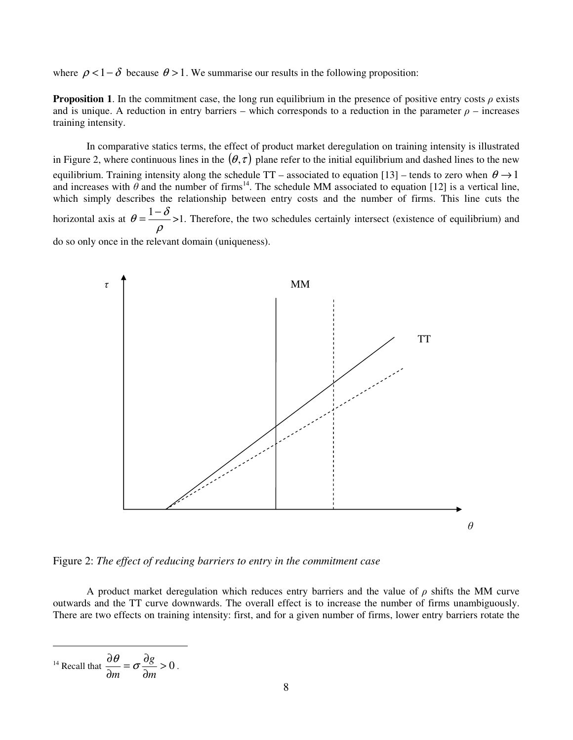where  $\rho < 1-\delta$  because  $\theta > 1$ . We summarise our results in the following proposition:

**Proposition 1.** In the commitment case, the long run equilibrium in the presence of positive entry costs  $\rho$  exists and is unique. A reduction in entry barriers – which corresponds to a reduction in the parameter  $\rho$  – increases training intensity.

 In comparative statics terms, the effect of product market deregulation on training intensity is illustrated in Figure 2, where continuous lines in the  $(\theta, \tau)$  plane refer to the initial equilibrium and dashed lines to the new equilibrium. Training intensity along the schedule TT – associated to equation [13] – tends to zero when  $\theta \rightarrow 1$ and increases with  $\theta$  and the number of firms<sup>14</sup>. The schedule MM associated to equation [12] is a vertical line, which simply describes the relationship between entry costs and the number of firms. This line cuts the horizontal axis at ρ  $\theta = \frac{1-\delta}{\epsilon}$  >1. Therefore, the two schedules certainly intersect (existence of equilibrium) and do so only once in the relevant domain (uniqueness).



Figure 2: *The effect of reducing barriers to entry in the commitment case*

A product market deregulation which reduces entry barriers and the value of  $\rho$  shifts the MM curve outwards and the TT curve downwards. The overall effect is to increase the number of firms unambiguously. There are two effects on training intensity: first, and for a given number of firms, lower entry barriers rotate the

$$
\frac{\partial \theta}{\partial m} = \sigma \frac{\partial g}{\partial m} > 0.
$$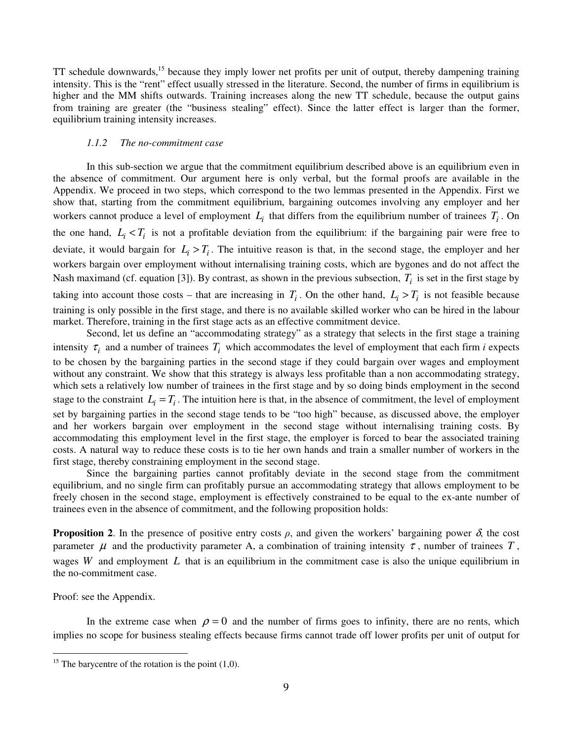TT schedule downwards,<sup>15</sup> because they imply lower net profits per unit of output, thereby dampening training intensity. This is the "rent" effect usually stressed in the literature. Second, the number of firms in equilibrium is higher and the MM shifts outwards. Training increases along the new TT schedule, because the output gains from training are greater (the "business stealing" effect). Since the latter effect is larger than the former, equilibrium training intensity increases.

#### *1.1.2 The no-commitment case*

In this sub-section we argue that the commitment equilibrium described above is an equilibrium even in the absence of commitment. Our argument here is only verbal, but the formal proofs are available in the Appendix. We proceed in two steps, which correspond to the two lemmas presented in the Appendix. First we show that, starting from the commitment equilibrium, bargaining outcomes involving any employer and her workers cannot produce a level of employment  $L_i$  that differs from the equilibrium number of trainees  $T_i$ . On the one hand,  $L_i < T_i$  is not a profitable deviation from the equilibrium: if the bargaining pair were free to deviate, it would bargain for  $L_i > T_i$ . The intuitive reason is that, in the second stage, the employer and her workers bargain over employment without internalising training costs, which are bygones and do not affect the Nash maximand (cf. equation [3]). By contrast, as shown in the previous subsection,  $T_i$  is set in the first stage by taking into account those costs – that are increasing in  $T_i$ . On the other hand,  $L_i > T_i$  is not feasible because training is only possible in the first stage, and there is no available skilled worker who can be hired in the labour market. Therefore, training in the first stage acts as an effective commitment device.

Second, let us define an "accommodating strategy" as a strategy that selects in the first stage a training intensity  $\tau_i$  and a number of trainees  $T_i$  which accommodates the level of employment that each firm *i* expects to be chosen by the bargaining parties in the second stage if they could bargain over wages and employment without any constraint. We show that this strategy is always less profitable than a non accommodating strategy, which sets a relatively low number of trainees in the first stage and by so doing binds employment in the second stage to the constraint  $L_i = T_i$ . The intuition here is that, in the absence of commitment, the level of employment set by bargaining parties in the second stage tends to be "too high" because, as discussed above, the employer and her workers bargain over employment in the second stage without internalising training costs. By accommodating this employment level in the first stage, the employer is forced to bear the associated training costs. A natural way to reduce these costs is to tie her own hands and train a smaller number of workers in the first stage, thereby constraining employment in the second stage.

Since the bargaining parties cannot profitably deviate in the second stage from the commitment equilibrium, and no single firm can profitably pursue an accommodating strategy that allows employment to be freely chosen in the second stage, employment is effectively constrained to be equal to the ex-ante number of trainees even in the absence of commitment, and the following proposition holds:

**Proposition 2.** In the presence of positive entry costs  $\rho$ , and given the workers' bargaining power  $\delta$ , the cost parameter  $\mu$  and the productivity parameter A, a combination of training intensity  $\tau$ , number of trainees  $T$ , wages *W* and employment *L* that is an equilibrium in the commitment case is also the unique equilibrium in the no-commitment case.

Proof: see the Appendix.

 $\overline{a}$ 

In the extreme case when  $\rho = 0$  and the number of firms goes to infinity, there are no rents, which implies no scope for business stealing effects because firms cannot trade off lower profits per unit of output for

<sup>&</sup>lt;sup>15</sup> The barycentre of the rotation is the point  $(1,0)$ .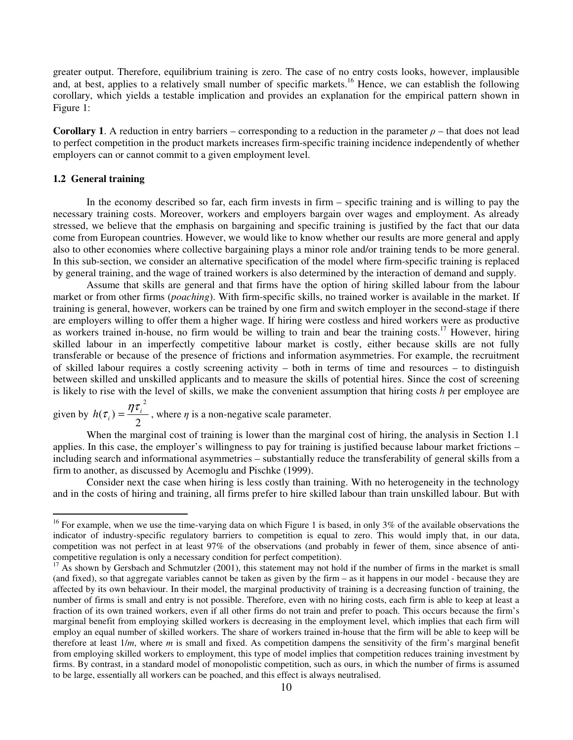greater output. Therefore, equilibrium training is zero. The case of no entry costs looks, however, implausible and, at best, applies to a relatively small number of specific markets.<sup>16</sup> Hence, we can establish the following corollary, which yields a testable implication and provides an explanation for the empirical pattern shown in Figure 1:

**Corollary 1**. A reduction in entry barriers – corresponding to a reduction in the parameter  $\rho$  – that does not lead to perfect competition in the product markets increases firm-specific training incidence independently of whether employers can or cannot commit to a given employment level.

#### **1.2 General training**

 $\overline{a}$ 

In the economy described so far, each firm invests in firm – specific training and is willing to pay the necessary training costs. Moreover, workers and employers bargain over wages and employment. As already stressed, we believe that the emphasis on bargaining and specific training is justified by the fact that our data come from European countries. However, we would like to know whether our results are more general and apply also to other economies where collective bargaining plays a minor role and/or training tends to be more general. In this sub-section, we consider an alternative specification of the model where firm-specific training is replaced by general training, and the wage of trained workers is also determined by the interaction of demand and supply.

Assume that skills are general and that firms have the option of hiring skilled labour from the labour market or from other firms (*poaching*). With firm-specific skills, no trained worker is available in the market. If training is general, however, workers can be trained by one firm and switch employer in the second-stage if there are employers willing to offer them a higher wage. If hiring were costless and hired workers were as productive as workers trained in-house, no firm would be willing to train and bear the training costs.<sup>17</sup> However, hiring skilled labour in an imperfectly competitive labour market is costly, either because skills are not fully transferable or because of the presence of frictions and information asymmetries. For example, the recruitment of skilled labour requires a costly screening activity – both in terms of time and resources – to distinguish between skilled and unskilled applicants and to measure the skills of potential hires. Since the cost of screening is likely to rise with the level of skills, we make the convenient assumption that hiring costs *h* per employee are

given by 2  $(\tau_i)$ 2  $h(\tau_i) = \frac{\eta \tau_i}{2}$ , where  $\eta$  is a non-negative scale parameter.

When the marginal cost of training is lower than the marginal cost of hiring, the analysis in Section 1.1 applies. In this case, the employer's willingness to pay for training is justified because labour market frictions – including search and informational asymmetries – substantially reduce the transferability of general skills from a firm to another, as discussed by Acemoglu and Pischke (1999).

Consider next the case when hiring is less costly than training. With no heterogeneity in the technology and in the costs of hiring and training, all firms prefer to hire skilled labour than train unskilled labour. But with

<sup>&</sup>lt;sup>16</sup> For example, when we use the time-varying data on which Figure 1 is based, in only  $3\%$  of the available observations the indicator of industry-specific regulatory barriers to competition is equal to zero. This would imply that, in our data, competition was not perfect in at least 97% of the observations (and probably in fewer of them, since absence of anticompetitive regulation is only a necessary condition for perfect competition).

 $17$  As shown by Gersbach and Schmutzler (2001), this statement may not hold if the number of firms in the market is small (and fixed), so that aggregate variables cannot be taken as given by the firm – as it happens in our model - because they are affected by its own behaviour. In their model, the marginal productivity of training is a decreasing function of training, the number of firms is small and entry is not possible. Therefore, even with no hiring costs, each firm is able to keep at least a fraction of its own trained workers, even if all other firms do not train and prefer to poach. This occurs because the firm's marginal benefit from employing skilled workers is decreasing in the employment level, which implies that each firm will employ an equal number of skilled workers. The share of workers trained in-house that the firm will be able to keep will be therefore at least 1/*m*, where *m* is small and fixed. As competition dampens the sensitivity of the firm's marginal benefit from employing skilled workers to employment, this type of model implies that competition reduces training investment by firms. By contrast, in a standard model of monopolistic competition, such as ours, in which the number of firms is assumed to be large, essentially all workers can be poached, and this effect is always neutralised.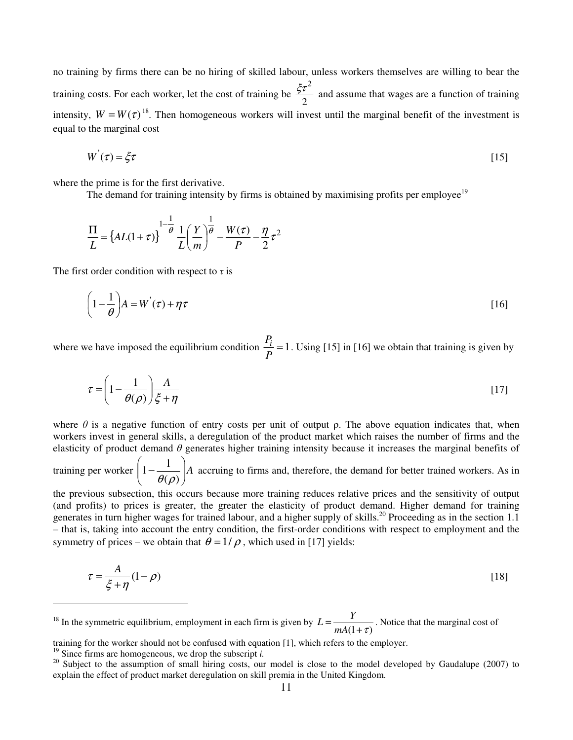no training by firms there can be no hiring of skilled labour, unless workers themselves are willing to bear the training costs. For each worker, let the cost of training be 2  $\frac{\xi \tau^2}{2}$  and assume that wages are a function of training intensity,  $W = W(\tau)^{18}$ . Then homogeneous workers will invest until the marginal benefit of the investment is equal to the marginal cost

$$
W^{'}(\tau) = \xi \tau \tag{15}
$$

where the prime is for the first derivative.

The demand for training intensity by firms is obtained by maximising profits per employee<sup>19</sup>

$$
\frac{\Pi}{L} = \left\{ AL(1+\tau) \right\}^{\frac{1-\theta}{\theta}} \frac{1}{L} \left( \frac{Y}{m} \right)^{\frac{1}{\theta}} - \frac{W(\tau)}{P} - \frac{\eta}{2} \tau^2
$$

The first order condition with respect to  $\tau$  is

$$
\left(1 - \frac{1}{\theta}\right)A = W^{'}(\tau) + \eta \tau
$$
 [16]

where we have imposed the equilibrium condition  $\frac{I_i}{I} = 1$ *P*  $\frac{P_i}{P_i}$  = 1. Using [15] in [16] we obtain that training is given by

$$
\tau = \left(1 - \frac{1}{\theta(\rho)}\right) \frac{A}{\xi + \eta} \tag{17}
$$

where  $\theta$  is a negative function of entry costs per unit of output  $\rho$ . The above equation indicates that, when workers invest in general skills, a deregulation of the product market which raises the number of firms and the elasticity of product demand  $\theta$  generates higher training intensity because it increases the marginal benefits of  $\backslash$ ſ

training per worker  $\left| 1 - \frac{1}{\theta(\rho)} \right| A$ J  $\overline{\phantom{a}}$ l −  $(\rho)$  $1 - \frac{1}{2}$  $\theta(\rho$ accruing to firms and, therefore, the demand for better trained workers. As in

the previous subsection, this occurs because more training reduces relative prices and the sensitivity of output (and profits) to prices is greater, the greater the elasticity of product demand. Higher demand for training generates in turn higher wages for trained labour, and a higher supply of skills.<sup>20</sup> Proceeding as in the section 1.1 – that is, taking into account the entry condition, the first-order conditions with respect to employment and the symmetry of prices – we obtain that  $\theta = 1/\rho$ , which used in [17] yields:

$$
\tau = \frac{A}{\xi + \eta} (1 - \rho) \tag{18}
$$

 $18$  In the symmetric equilibrium, employment in each firm is given by  $(1+\tau)$ = *mA*  $L = \frac{Y}{\sqrt{X}}$ . Notice that the marginal cost of

 $\overline{a}$ 

training for the worker should not be confused with equation [1], which refers to the employer.

 $19$  Since firms are homogeneous, we drop the subscript *i*.

<sup>&</sup>lt;sup>20</sup> Subject to the assumption of small hiring costs, our model is close to the model developed by Gaudalupe (2007) to explain the effect of product market deregulation on skill premia in the United Kingdom.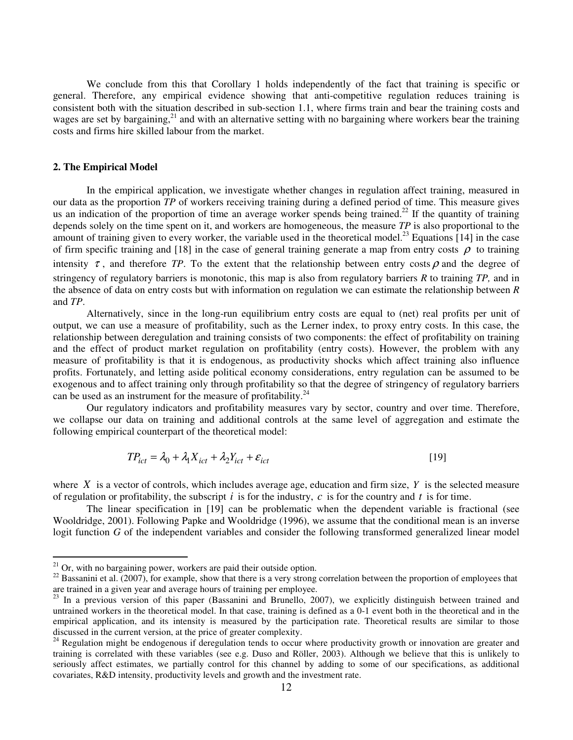We conclude from this that Corollary 1 holds independently of the fact that training is specific or general. Therefore, any empirical evidence showing that anti-competitive regulation reduces training is consistent both with the situation described in sub-section 1.1, where firms train and bear the training costs and wages are set by bargaining,<sup>21</sup> and with an alternative setting with no bargaining where workers bear the training costs and firms hire skilled labour from the market.

#### **2. The Empirical Model**

 $\overline{a}$ 

In the empirical application, we investigate whether changes in regulation affect training, measured in our data as the proportion *TP* of workers receiving training during a defined period of time. This measure gives us an indication of the proportion of time an average worker spends being trained.<sup>22</sup> If the quantity of training depends solely on the time spent on it, and workers are homogeneous, the measure *TP* is also proportional to the amount of training given to every worker, the variable used in the theoretical model.<sup>23</sup> Equations [14] in the case of firm specific training and [18] in the case of general training generate a map from entry costs  $\rho$  to training intensity  $\tau$ , and therefore *TP*. To the extent that the relationship between entry costs  $\rho$  and the degree of stringency of regulatory barriers is monotonic, this map is also from regulatory barriers *R* to training *TP,* and in the absence of data on entry costs but with information on regulation we can estimate the relationship between *R* and *TP*.

Alternatively, since in the long-run equilibrium entry costs are equal to (net) real profits per unit of output, we can use a measure of profitability, such as the Lerner index, to proxy entry costs. In this case, the relationship between deregulation and training consists of two components: the effect of profitability on training and the effect of product market regulation on profitability (entry costs). However, the problem with any measure of profitability is that it is endogenous, as productivity shocks which affect training also influence profits. Fortunately, and letting aside political economy considerations, entry regulation can be assumed to be exogenous and to affect training only through profitability so that the degree of stringency of regulatory barriers can be used as an instrument for the measure of profitability.<sup>24</sup>

Our regulatory indicators and profitability measures vary by sector, country and over time. Therefore, we collapse our data on training and additional controls at the same level of aggregation and estimate the following empirical counterpart of the theoretical model:

$$
TP_{ict} = \lambda_0 + \lambda_1 X_{ict} + \lambda_2 Y_{ict} + \varepsilon_{ict}
$$
\n<sup>(19)</sup>

where *X* is a vector of controls, which includes average age, education and firm size, *Y* is the selected measure of regulation or profitability, the subscript *i* is for the industry, *c* is for the country and *t* is for time.

The linear specification in [19] can be problematic when the dependent variable is fractional (see Wooldridge, 2001). Following Papke and Wooldridge (1996), we assume that the conditional mean is an inverse logit function *G* of the independent variables and consider the following transformed generalized linear model

 $21$  Or, with no bargaining power, workers are paid their outside option.

 $^{22}$  Bassanini et al. (2007), for example, show that there is a very strong correlation between the proportion of employees that are trained in a given year and average hours of training per employee.

<sup>&</sup>lt;sup>23</sup> In a previous version of this paper (Bassanini and Brunello, 2007), we explicitly distinguish between trained and untrained workers in the theoretical model. In that case, training is defined as a 0-1 event both in the theoretical and in the empirical application, and its intensity is measured by the participation rate. Theoretical results are similar to those discussed in the current version, at the price of greater complexity.

 $24$  Regulation might be endogenous if deregulation tends to occur where productivity growth or innovation are greater and training is correlated with these variables (see e.g. Duso and Röller, 2003). Although we believe that this is unlikely to seriously affect estimates, we partially control for this channel by adding to some of our specifications, as additional covariates, R&D intensity, productivity levels and growth and the investment rate.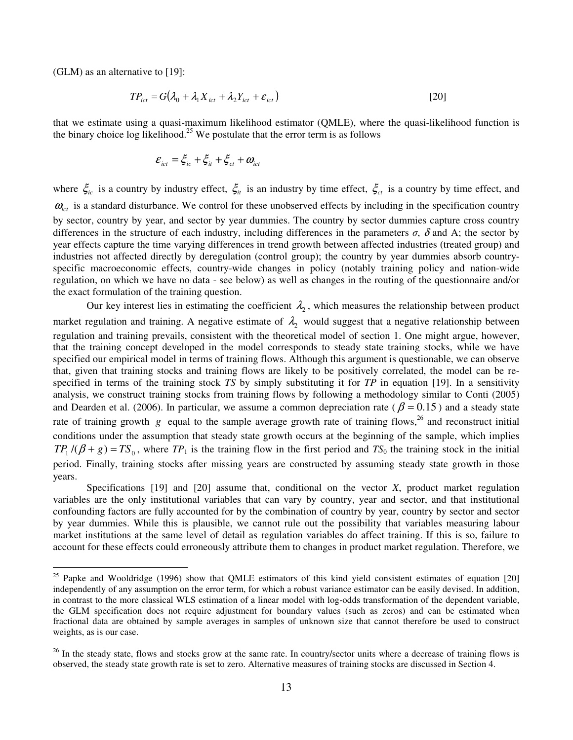(GLM) as an alternative to [19]:

 $\overline{a}$ 

$$
TP_{ict} = G(\lambda_0 + \lambda_1 X_{ict} + \lambda_2 Y_{ict} + \varepsilon_{ict})
$$
\n<sup>(20)</sup>

that we estimate using a quasi-maximum likelihood estimator (QMLE), where the quasi-likelihood function is the binary choice  $\log$  likelihood.<sup>25</sup> We postulate that the error term is as follows

$$
\mathcal{E}_{ict} = \xi_{ic} + \xi_{it} + \xi_{ct} + \omega_{ict}
$$

where  $\zeta_{ic}$  is a country by industry effect,  $\zeta_{it}$  is an industry by time effect,  $\zeta_{ct}$  is a country by time effect, and  $\omega_{\text{tot}}$  is a standard disturbance. We control for these unobserved effects by including in the specification country by sector, country by year, and sector by year dummies. The country by sector dummies capture cross country differences in the structure of each industry, including differences in the parameters  $\sigma$ ,  $\delta$  and A; the sector by year effects capture the time varying differences in trend growth between affected industries (treated group) and industries not affected directly by deregulation (control group); the country by year dummies absorb countryspecific macroeconomic effects, country-wide changes in policy (notably training policy and nation-wide regulation, on which we have no data - see below) as well as changes in the routing of the questionnaire and/or the exact formulation of the training question.

Our key interest lies in estimating the coefficient  $\lambda_2$ , which measures the relationship between product market regulation and training. A negative estimate of  $\lambda_2$  would suggest that a negative relationship between regulation and training prevails, consistent with the theoretical model of section 1. One might argue, however, that the training concept developed in the model corresponds to steady state training stocks, while we have specified our empirical model in terms of training flows. Although this argument is questionable, we can observe that, given that training stocks and training flows are likely to be positively correlated, the model can be respecified in terms of the training stock *TS* by simply substituting it for *TP* in equation [19]. In a sensitivity analysis, we construct training stocks from training flows by following a methodology similar to Conti (2005) and Dearden et al. (2006). In particular, we assume a common depreciation rate ( $\beta = 0.15$ ) and a steady state rate of training growth  $g$  equal to the sample average growth rate of training flows,<sup>26</sup> and reconstruct initial conditions under the assumption that steady state growth occurs at the beginning of the sample, which implies  $TP_1$  /( $\beta + g$ ) =  $TS_0$ , where  $TP_1$  is the training flow in the first period and  $TS_0$  the training stock in the initial period. Finally, training stocks after missing years are constructed by assuming steady state growth in those years.

Specifications [19] and [20] assume that, conditional on the vector *X*, product market regulation variables are the only institutional variables that can vary by country, year and sector, and that institutional confounding factors are fully accounted for by the combination of country by year, country by sector and sector by year dummies. While this is plausible, we cannot rule out the possibility that variables measuring labour market institutions at the same level of detail as regulation variables do affect training. If this is so, failure to account for these effects could erroneously attribute them to changes in product market regulation. Therefore, we

 $25$  Papke and Wooldridge (1996) show that QMLE estimators of this kind yield consistent estimates of equation [20] independently of any assumption on the error term, for which a robust variance estimator can be easily devised. In addition, in contrast to the more classical WLS estimation of a linear model with log-odds transformation of the dependent variable, the GLM specification does not require adjustment for boundary values (such as zeros) and can be estimated when fractional data are obtained by sample averages in samples of unknown size that cannot therefore be used to construct weights, as is our case.

 $^{26}$  In the steady state, flows and stocks grow at the same rate. In country/sector units where a decrease of training flows is observed, the steady state growth rate is set to zero. Alternative measures of training stocks are discussed in Section 4.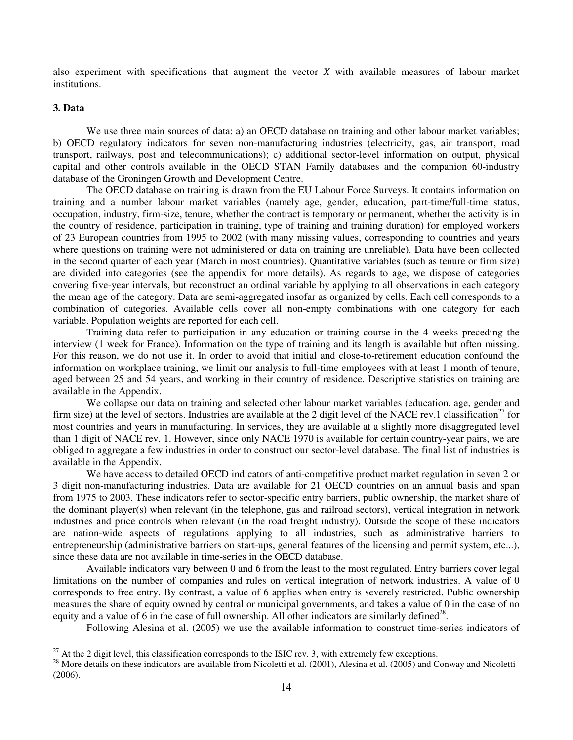also experiment with specifications that augment the vector *X* with available measures of labour market institutions.

#### **3. Data**

 $\overline{a}$ 

We use three main sources of data: a) an OECD database on training and other labour market variables; b) OECD regulatory indicators for seven non-manufacturing industries (electricity, gas, air transport, road transport, railways, post and telecommunications); c) additional sector-level information on output, physical capital and other controls available in the OECD STAN Family databases and the companion 60-industry database of the Groningen Growth and Development Centre.

The OECD database on training is drawn from the EU Labour Force Surveys. It contains information on training and a number labour market variables (namely age, gender, education, part-time/full-time status, occupation, industry, firm-size, tenure, whether the contract is temporary or permanent, whether the activity is in the country of residence, participation in training, type of training and training duration) for employed workers of 23 European countries from 1995 to 2002 (with many missing values, corresponding to countries and years where questions on training were not administered or data on training are unreliable). Data have been collected in the second quarter of each year (March in most countries). Quantitative variables (such as tenure or firm size) are divided into categories (see the appendix for more details). As regards to age, we dispose of categories covering five-year intervals, but reconstruct an ordinal variable by applying to all observations in each category the mean age of the category. Data are semi-aggregated insofar as organized by cells. Each cell corresponds to a combination of categories. Available cells cover all non-empty combinations with one category for each variable. Population weights are reported for each cell.

Training data refer to participation in any education or training course in the 4 weeks preceding the interview (1 week for France). Information on the type of training and its length is available but often missing. For this reason, we do not use it. In order to avoid that initial and close-to-retirement education confound the information on workplace training, we limit our analysis to full-time employees with at least 1 month of tenure, aged between 25 and 54 years, and working in their country of residence. Descriptive statistics on training are available in the Appendix.

We collapse our data on training and selected other labour market variables (education, age, gender and firm size) at the level of sectors. Industries are available at the 2 digit level of the NACE rev.1 classification<sup>27</sup> for most countries and years in manufacturing. In services, they are available at a slightly more disaggregated level than 1 digit of NACE rev. 1. However, since only NACE 1970 is available for certain country-year pairs, we are obliged to aggregate a few industries in order to construct our sector-level database. The final list of industries is available in the Appendix.

We have access to detailed OECD indicators of anti-competitive product market regulation in seven 2 or 3 digit non-manufacturing industries. Data are available for 21 OECD countries on an annual basis and span from 1975 to 2003. These indicators refer to sector-specific entry barriers, public ownership, the market share of the dominant player(s) when relevant (in the telephone, gas and railroad sectors), vertical integration in network industries and price controls when relevant (in the road freight industry). Outside the scope of these indicators are nation-wide aspects of regulations applying to all industries, such as administrative barriers to entrepreneurship (administrative barriers on start-ups, general features of the licensing and permit system, etc...), since these data are not available in time-series in the OECD database.

Available indicators vary between 0 and 6 from the least to the most regulated. Entry barriers cover legal limitations on the number of companies and rules on vertical integration of network industries. A value of 0 corresponds to free entry. By contrast, a value of 6 applies when entry is severely restricted. Public ownership measures the share of equity owned by central or municipal governments, and takes a value of 0 in the case of no equity and a value of 6 in the case of full ownership. All other indicators are similarly defined<sup>28</sup>.

Following Alesina et al. (2005) we use the available information to construct time-series indicators of

 $^{27}$  At the 2 digit level, this classification corresponds to the ISIC rev. 3, with extremely few exceptions.

<sup>&</sup>lt;sup>28</sup> More details on these indicators are available from Nicoletti et al. (2001), Alesina et al. (2005) and Conway and Nicoletti (2006).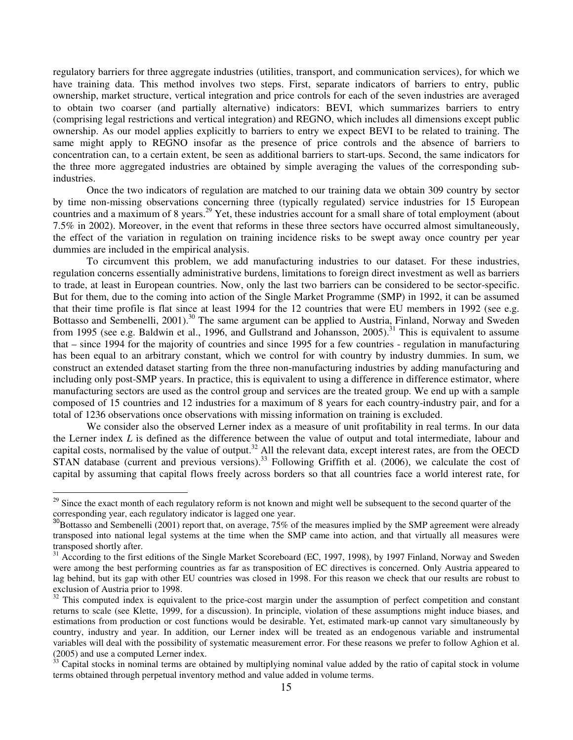regulatory barriers for three aggregate industries (utilities, transport, and communication services), for which we have training data. This method involves two steps. First, separate indicators of barriers to entry, public ownership, market structure, vertical integration and price controls for each of the seven industries are averaged to obtain two coarser (and partially alternative) indicators: BEVI, which summarizes barriers to entry (comprising legal restrictions and vertical integration) and REGNO, which includes all dimensions except public ownership. As our model applies explicitly to barriers to entry we expect BEVI to be related to training. The same might apply to REGNO insofar as the presence of price controls and the absence of barriers to concentration can, to a certain extent, be seen as additional barriers to start-ups. Second, the same indicators for the three more aggregated industries are obtained by simple averaging the values of the corresponding subindustries.

Once the two indicators of regulation are matched to our training data we obtain 309 country by sector by time non-missing observations concerning three (typically regulated) service industries for 15 European countries and a maximum of 8 years.<sup>29</sup> Yet, these industries account for a small share of total employment (about 7.5% in 2002). Moreover, in the event that reforms in these three sectors have occurred almost simultaneously, the effect of the variation in regulation on training incidence risks to be swept away once country per year dummies are included in the empirical analysis.

To circumvent this problem, we add manufacturing industries to our dataset. For these industries, regulation concerns essentially administrative burdens, limitations to foreign direct investment as well as barriers to trade, at least in European countries. Now, only the last two barriers can be considered to be sector-specific. But for them, due to the coming into action of the Single Market Programme (SMP) in 1992, it can be assumed that their time profile is flat since at least 1994 for the 12 countries that were EU members in 1992 (see e.g. Bottasso and Sembenelli, 2001).<sup>30</sup> The same argument can be applied to Austria, Finland, Norway and Sweden from 1995 (see e.g. Baldwin et al., 1996, and Gullstrand and Johansson, 2005).<sup>31</sup> This is equivalent to assume that – since 1994 for the majority of countries and since 1995 for a few countries - regulation in manufacturing has been equal to an arbitrary constant, which we control for with country by industry dummies. In sum, we construct an extended dataset starting from the three non-manufacturing industries by adding manufacturing and including only post-SMP years. In practice, this is equivalent to using a difference in difference estimator, where manufacturing sectors are used as the control group and services are the treated group. We end up with a sample composed of 15 countries and 12 industries for a maximum of 8 years for each country-industry pair, and for a total of 1236 observations once observations with missing information on training is excluded.

We consider also the observed Lerner index as a measure of unit profitability in real terms. In our data the Lerner index *L* is defined as the difference between the value of output and total intermediate, labour and capital costs, normalised by the value of output.<sup>32</sup> All the relevant data, except interest rates, are from the OECD STAN database (current and previous versions).<sup>33</sup> Following Griffith et al. (2006), we calculate the cost of capital by assuming that capital flows freely across borders so that all countries face a world interest rate, for

 $\overline{a}$ 

<sup>&</sup>lt;sup>29</sup> Since the exact month of each regulatory reform is not known and might well be subsequent to the second quarter of the corresponding year, each regulatory indicator is lagged one year.

<sup>&</sup>lt;sup>30</sup>Bottasso and Sembenelli (2001) report that, on average, 75% of the measures implied by the SMP agreement were already transposed into national legal systems at the time when the SMP came into action, and that virtually all measures were transposed shortly after.

<sup>&</sup>lt;sup>31</sup> According to the first editions of the Single Market Scoreboard (EC, 1997, 1998), by 1997 Finland, Norway and Sweden were among the best performing countries as far as transposition of EC directives is concerned. Only Austria appeared to lag behind, but its gap with other EU countries was closed in 1998. For this reason we check that our results are robust to exclusion of Austria prior to 1998.

 $\frac{32}{32}$  This computed index is equivalent to the price-cost margin under the assumption of perfect competition and constant returns to scale (see Klette, 1999, for a discussion). In principle, violation of these assumptions might induce biases, and estimations from production or cost functions would be desirable. Yet, estimated mark-up cannot vary simultaneously by country, industry and year. In addition, our Lerner index will be treated as an endogenous variable and instrumental variables will deal with the possibility of systematic measurement error. For these reasons we prefer to follow Aghion et al. (2005) and use a computed Lerner index.

<sup>33</sup> Capital stocks in nominal terms are obtained by multiplying nominal value added by the ratio of capital stock in volume terms obtained through perpetual inventory method and value added in volume terms.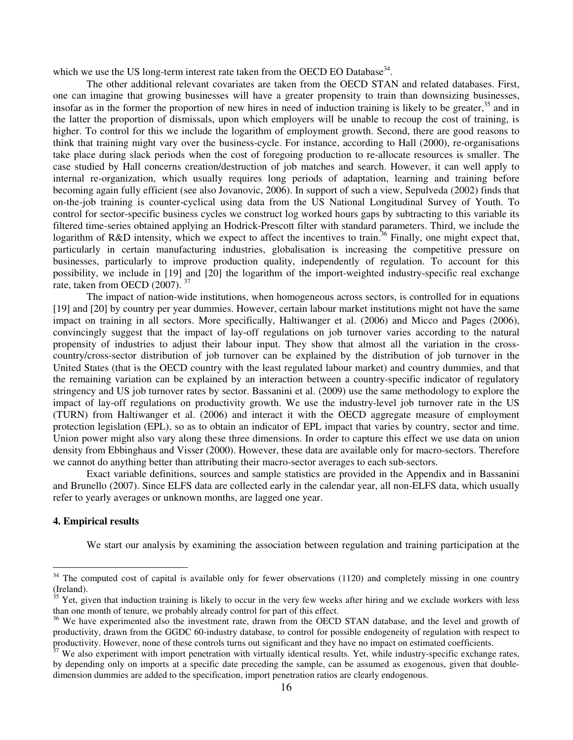which we use the US long-term interest rate taken from the OECD EO Database<sup>34</sup>.

The other additional relevant covariates are taken from the OECD STAN and related databases. First, one can imagine that growing businesses will have a greater propensity to train than downsizing businesses, insofar as in the former the proportion of new hires in need of induction training is likely to be greater, $35$  and in the latter the proportion of dismissals, upon which employers will be unable to recoup the cost of training, is higher. To control for this we include the logarithm of employment growth. Second, there are good reasons to think that training might vary over the business-cycle. For instance, according to Hall (2000), re-organisations take place during slack periods when the cost of foregoing production to re-allocate resources is smaller. The case studied by Hall concerns creation/destruction of job matches and search. However, it can well apply to internal re-organization, which usually requires long periods of adaptation, learning and training before becoming again fully efficient (see also Jovanovic, 2006). In support of such a view, Sepulveda (2002) finds that on-the-job training is counter-cyclical using data from the US National Longitudinal Survey of Youth. To control for sector-specific business cycles we construct log worked hours gaps by subtracting to this variable its filtered time-series obtained applying an Hodrick-Prescott filter with standard parameters. Third, we include the logarithm of R&D intensity, which we expect to affect the incentives to train.<sup>36</sup> Finally, one might expect that, particularly in certain manufacturing industries, globalisation is increasing the competitive pressure on businesses, particularly to improve production quality, independently of regulation. To account for this possibility, we include in [19] and [20] the logarithm of the import-weighted industry-specific real exchange rate, taken from OECD (2007).<sup>37</sup>

The impact of nation-wide institutions, when homogeneous across sectors, is controlled for in equations [19] and [20] by country per year dummies. However, certain labour market institutions might not have the same impact on training in all sectors. More specifically, Haltiwanger et al. (2006) and Micco and Pages (2006), convincingly suggest that the impact of lay-off regulations on job turnover varies according to the natural propensity of industries to adjust their labour input. They show that almost all the variation in the crosscountry/cross-sector distribution of job turnover can be explained by the distribution of job turnover in the United States (that is the OECD country with the least regulated labour market) and country dummies, and that the remaining variation can be explained by an interaction between a country-specific indicator of regulatory stringency and US job turnover rates by sector. Bassanini et al. (2009) use the same methodology to explore the impact of lay-off regulations on productivity growth. We use the industry-level job turnover rate in the US (TURN) from Haltiwanger et al. (2006) and interact it with the OECD aggregate measure of employment protection legislation (EPL), so as to obtain an indicator of EPL impact that varies by country, sector and time. Union power might also vary along these three dimensions. In order to capture this effect we use data on union density from Ebbinghaus and Visser (2000). However, these data are available only for macro-sectors. Therefore we cannot do anything better than attributing their macro-sector averages to each sub-sectors.

Exact variable definitions, sources and sample statistics are provided in the Appendix and in Bassanini and Brunello (2007). Since ELFS data are collected early in the calendar year, all non-ELFS data, which usually refer to yearly averages or unknown months, are lagged one year.

#### **4. Empirical results**

 $\overline{a}$ 

We start our analysis by examining the association between regulation and training participation at the

 $34$  The computed cost of capital is available only for fewer observations (1120) and completely missing in one country (Ireland).

 $\frac{35}{35}$  Yet, given that induction training is likely to occur in the very few weeks after hiring and we exclude workers with less than one month of tenure, we probably already control for part of this effect.

<sup>&</sup>lt;sup>36</sup> We have experimented also the investment rate, drawn from the OECD STAN database, and the level and growth of productivity, drawn from the GGDC 60-industry database, to control for possible endogeneity of regulation with respect to productivity. However, none of these controls turns out significant and they have no impact on estimated coefficients.

 $37$  We also experiment with import penetration with virtually identical results. Yet, while industry-specific exchange rates, by depending only on imports at a specific date preceding the sample, can be assumed as exogenous, given that doubledimension dummies are added to the specification, import penetration ratios are clearly endogenous.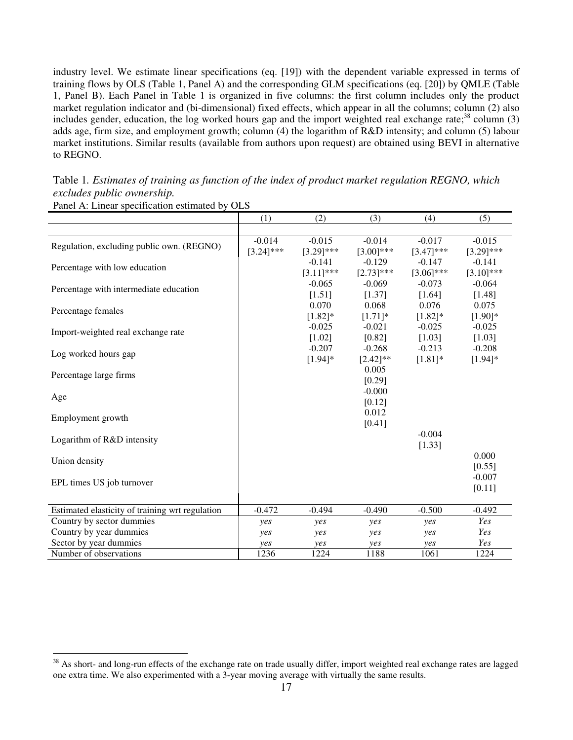industry level. We estimate linear specifications (eq. [19]) with the dependent variable expressed in terms of training flows by OLS (Table 1, Panel A) and the corresponding GLM specifications (eq. [20]) by QMLE (Table 1, Panel B). Each Panel in Table 1 is organized in five columns: the first column includes only the product market regulation indicator and (bi-dimensional) fixed effects, which appear in all the columns; column (2) also includes gender, education, the log worked hours gap and the import weighted real exchange rate; $^{38}$  column (3) adds age, firm size, and employment growth; column (4) the logarithm of R&D intensity; and column (5) labour market institutions. Similar results (available from authors upon request) are obtained using BEVI in alternative to REGNO.

Table 1*. Estimates of training as function of the index of product market regulation REGNO, which excludes public ownership.* 

|                                                 | (1)          | (2)          | (3)                | (4)          | (5)          |
|-------------------------------------------------|--------------|--------------|--------------------|--------------|--------------|
|                                                 |              |              |                    |              |              |
| Regulation, excluding public own. (REGNO)       | $-0.014$     | $-0.015$     | $-0.014$           | $-0.017$     | $-0.015$     |
|                                                 | $[3.24]$ *** | $[3.29]$ *** | $[3.00]$ ***       | $[3.47]$ *** | $[3.29]$ *** |
| Percentage with low education                   |              | $-0.141$     | $-0.129$           | $-0.147$     | $-0.141$     |
|                                                 |              | $[3.11]$ *** | $[2.73]$ ***       | $[3.06]$ *** | $[3.10]$ *** |
| Percentage with intermediate education          |              | $-0.065$     | $-0.069$           | $-0.073$     | $-0.064$     |
|                                                 |              | [1.51]       | [1.37]             | [1.64]       | [1.48]       |
| Percentage females                              |              | 0.070        | 0.068              | 0.076        | 0.075        |
|                                                 |              | $[1.82]$ *   | $[1.71]$ *         | $[1.82]$ *   | $[1.90]$ *   |
| Import-weighted real exchange rate              |              | $-0.025$     | $-0.021$           | $-0.025$     | $-0.025$     |
|                                                 |              | [1.02]       | [0.82]             | [1.03]       | [1.03]       |
| Log worked hours gap                            |              | $-0.207$     | $-0.268$           | $-0.213$     | $-0.208$     |
|                                                 |              | $[1.94]$ *   | $[2.42]$ **        | $[1.81]$ *   | $[1.94]$ *   |
| Percentage large firms                          |              |              | 0.005              |              |              |
|                                                 |              |              | [0.29]<br>$-0.000$ |              |              |
| Age                                             |              |              | [0.12]             |              |              |
|                                                 |              |              | 0.012              |              |              |
| Employment growth                               |              |              | [0.41]             |              |              |
|                                                 |              |              |                    | $-0.004$     |              |
| Logarithm of R&D intensity                      |              |              |                    | [1.33]       |              |
|                                                 |              |              |                    |              | 0.000        |
| Union density                                   |              |              |                    |              | [0.55]       |
|                                                 |              |              |                    |              | $-0.007$     |
| EPL times US job turnover                       |              |              |                    |              | [0.11]       |
|                                                 |              |              |                    |              |              |
| Estimated elasticity of training wrt regulation | $-0.472$     | $-0.494$     | $-0.490$           | $-0.500$     | $-0.492$     |
| Country by sector dummies                       | yes          | yes          | yes                | yes          | Yes          |
| Country by year dummies                         | yes          | yes          | yes                | yes          | Yes          |
| Sector by year dummies                          | yes          | yes          | yes                | yes          | Yes          |
| Number of observations                          | 1236         | 1224         | 1188               | 1061         | 1224         |

Panel A: Linear specification estimated by OLS

 $\overline{a}$ <sup>38</sup> As short- and long-run effects of the exchange rate on trade usually differ, import weighted real exchange rates are lagged one extra time. We also experimented with a 3-year moving average with virtually the same results.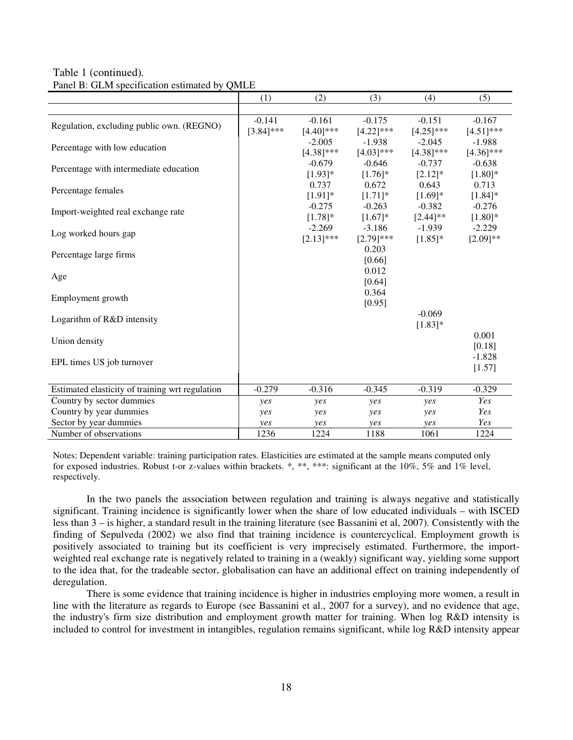Table 1 (continued)*.*

| Panel B: GLM specification estimated by QMLE |  |  |  |
|----------------------------------------------|--|--|--|
|----------------------------------------------|--|--|--|

|                                                 | (1)          | (2)          | (3)             | (4)          | (5)          |
|-------------------------------------------------|--------------|--------------|-----------------|--------------|--------------|
|                                                 |              |              |                 |              |              |
| Regulation, excluding public own. (REGNO)       | $-0.141$     | $-0.161$     | $-0.175$        | $-0.151$     | $-0.167$     |
|                                                 | $[3.84]$ *** | $[4.40]$ *** | $[4.22]$ ***    | $[4.25]$ *** | $[4.51]$ *** |
| Percentage with low education                   |              | $-2.005$     | $-1.938$        | $-2.045$     | $-1.988$     |
|                                                 |              | $[4.38]$ *** | $[4.03]$ ***    | $[4.38]$ *** | $[4.36]$ *** |
| Percentage with intermediate education          |              | $-0.679$     | $-0.646$        | $-0.737$     | $-0.638$     |
|                                                 |              | $[1.93]*$    | $[1.76]$ *      | $[2.12]*$    | $[1.80]$ *   |
| Percentage females                              |              | 0.737        | 0.672           | 0.643        | 0.713        |
|                                                 |              | $[1.91]$ *   | $[1.71]$ *      | $[1.69]*$    | $[1.84]$ *   |
| Import-weighted real exchange rate              |              | $-0.275$     | $-0.263$        | $-0.382$     | $-0.276$     |
|                                                 |              | $[1.78]$ *   | $[1.67]$ *      | $[2.44]$ **  | $[1.80]$ *   |
| Log worked hours gap                            |              | $-2.269$     | $-3.186$        | $-1.939$     | $-2.229$     |
|                                                 |              | $[2.13]$ *** | $[2.79]$ ***    | $[1.85]$ *   | $[2.09]$ **  |
| Percentage large firms                          |              |              | 0.203           |              |              |
|                                                 |              |              | [0.66]<br>0.012 |              |              |
| Age                                             |              |              | [0.64]          |              |              |
|                                                 |              |              | 0.364           |              |              |
| Employment growth                               |              |              | [0.95]          |              |              |
|                                                 |              |              |                 | $-0.069$     |              |
| Logarithm of R&D intensity                      |              |              |                 | $[1.83]$ *   |              |
|                                                 |              |              |                 |              | 0.001        |
| Union density                                   |              |              |                 |              | [0.18]       |
|                                                 |              |              |                 |              | $-1.828$     |
| EPL times US job turnover                       |              |              |                 |              | [1.57]       |
|                                                 |              |              |                 |              |              |
| Estimated elasticity of training wrt regulation | $-0.279$     | $-0.316$     | $-0.345$        | $-0.319$     | $-0.329$     |
| Country by sector dummies                       | yes          | yes          | yes             | yes          | Yes          |
| Country by year dummies                         | yes          | yes          | yes             | yes          | Yes          |
| Sector by year dummies                          | yes          | yes          | yes             | yes          | Yes          |
| Number of observations                          | 1236         | 1224         | 1188            | 1061         | 1224         |

Notes: Dependent variable: training participation rates. Elasticities are estimated at the sample means computed only for exposed industries. Robust t-or z-values within brackets. \*, \*\*, \*\*\*: significant at the 10%, 5% and 1% level, respectively.

In the two panels the association between regulation and training is always negative and statistically significant. Training incidence is significantly lower when the share of low educated individuals – with ISCED less than 3 – is higher, a standard result in the training literature (see Bassanini et al, 2007). Consistently with the finding of Sepulveda (2002) we also find that training incidence is countercyclical. Employment growth is positively associated to training but its coefficient is very imprecisely estimated. Furthermore, the importweighted real exchange rate is negatively related to training in a (weakly) significant way, yielding some support to the idea that, for the tradeable sector, globalisation can have an additional effect on training independently of deregulation.

There is some evidence that training incidence is higher in industries employing more women, a result in line with the literature as regards to Europe (see Bassanini et al., 2007 for a survey), and no evidence that age, the industry's firm size distribution and employment growth matter for training. When log R&D intensity is included to control for investment in intangibles, regulation remains significant, while log R&D intensity appear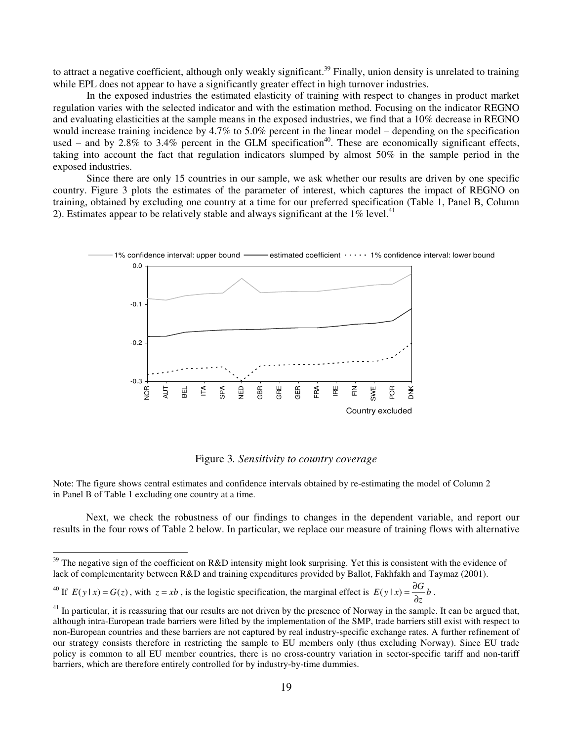to attract a negative coefficient, although only weakly significant.<sup>39</sup> Finally, union density is unrelated to training while EPL does not appear to have a significantly greater effect in high turnover industries.

In the exposed industries the estimated elasticity of training with respect to changes in product market regulation varies with the selected indicator and with the estimation method. Focusing on the indicator REGNO and evaluating elasticities at the sample means in the exposed industries, we find that a 10% decrease in REGNO would increase training incidence by 4.7% to 5.0% percent in the linear model – depending on the specification used – and by 2.8% to 3.4% percent in the GLM specification<sup>40</sup>. These are economically significant effects, taking into account the fact that regulation indicators slumped by almost 50% in the sample period in the exposed industries.

Since there are only 15 countries in our sample, we ask whether our results are driven by one specific country. Figure 3 plots the estimates of the parameter of interest, which captures the impact of REGNO on training, obtained by excluding one country at a time for our preferred specification (Table 1, Panel B, Column 2). Estimates appear to be relatively stable and always significant at the  $1\%$  level.<sup>41</sup>



Figure 3*. Sensitivity to country coverage* 

Note: The figure shows central estimates and confidence intervals obtained by re-estimating the model of Column 2 in Panel B of Table 1 excluding one country at a time.

Next, we check the robustness of our findings to changes in the dependent variable, and report our results in the four rows of Table 2 below. In particular, we replace our measure of training flows with alternative

 $\overline{a}$ 

 $39$  The negative sign of the coefficient on R&D intensity might look surprising. Yet this is consistent with the evidence of lack of complementarity between R&D and training expenditures provided by Ballot, Fakhfakh and Taymaz (2001).

<sup>&</sup>lt;sup>40</sup> If  $E(y|x) = G(z)$ , with  $z = xb$ , is the logistic specification, the marginal effect is  $E(y|x) = \frac{\partial G}{\partial z} b$  $E(y \mid x) = \frac{\partial G}{\partial z}$  $(y | x) = \frac{\partial G}{\partial x} b$ .

 $41$  In particular, it is reassuring that our results are not driven by the presence of Norway in the sample. It can be argued that, although intra-European trade barriers were lifted by the implementation of the SMP, trade barriers still exist with respect to non-European countries and these barriers are not captured by real industry-specific exchange rates. A further refinement of our strategy consists therefore in restricting the sample to EU members only (thus excluding Norway). Since EU trade policy is common to all EU member countries, there is no cross-country variation in sector-specific tariff and non-tariff barriers, which are therefore entirely controlled for by industry-by-time dummies.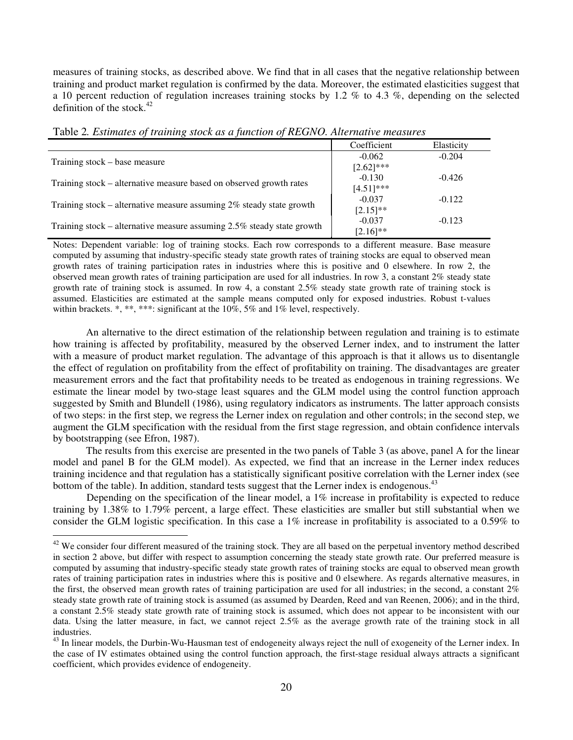measures of training stocks, as described above. We find that in all cases that the negative relationship between training and product market regulation is confirmed by the data. Moreover, the estimated elasticities suggest that a 10 percent reduction of regulation increases training stocks by 1.2 % to 4.3 %, depending on the selected definition of the stock. $42$ 

| Twere <b>E</b> Ebrimanos of manimizerous as a function of the struct manic measures |               |            |  |  |
|-------------------------------------------------------------------------------------|---------------|------------|--|--|
|                                                                                     | Coefficient   | Elasticity |  |  |
| Training stock – base measure                                                       | $-0.062$      | $-0.204$   |  |  |
|                                                                                     | $[2.62]$ ***  |            |  |  |
| Training stock – alternative measure based on observed growth rates                 | $-0.130$      | $-0.426$   |  |  |
|                                                                                     | $[4.51]$ ***  |            |  |  |
| Training stock – alternative measure assuming $2\%$ steady state growth             | $-0.037$      | $-0.122$   |  |  |
|                                                                                     | $[2.15]^{**}$ |            |  |  |
| Training stock – alternative measure assuming $2.5\%$ steady state growth           | $-0.037$      | $-0.123$   |  |  |
|                                                                                     | $[2.16]^{**}$ |            |  |  |

Table 2*. Estimates of training stock as a function of REGNO. Alternative measures* 

Notes: Dependent variable: log of training stocks. Each row corresponds to a different measure. Base measure computed by assuming that industry-specific steady state growth rates of training stocks are equal to observed mean growth rates of training participation rates in industries where this is positive and 0 elsewhere. In row 2, the observed mean growth rates of training participation are used for all industries. In row 3, a constant 2% steady state growth rate of training stock is assumed. In row 4, a constant 2.5% steady state growth rate of training stock is assumed. Elasticities are estimated at the sample means computed only for exposed industries. Robust t-values within brackets. \*, \*\*, \*\*\*: significant at the 10%, 5% and 1% level, respectively.

An alternative to the direct estimation of the relationship between regulation and training is to estimate how training is affected by profitability, measured by the observed Lerner index, and to instrument the latter with a measure of product market regulation. The advantage of this approach is that it allows us to disentangle the effect of regulation on profitability from the effect of profitability on training. The disadvantages are greater measurement errors and the fact that profitability needs to be treated as endogenous in training regressions. We estimate the linear model by two-stage least squares and the GLM model using the control function approach suggested by Smith and Blundell (1986), using regulatory indicators as instruments. The latter approach consists of two steps: in the first step, we regress the Lerner index on regulation and other controls; in the second step, we augment the GLM specification with the residual from the first stage regression, and obtain confidence intervals by bootstrapping (see Efron, 1987).

The results from this exercise are presented in the two panels of Table 3 (as above, panel A for the linear model and panel B for the GLM model). As expected, we find that an increase in the Lerner index reduces training incidence and that regulation has a statistically significant positive correlation with the Lerner index (see bottom of the table). In addition, standard tests suggest that the Lerner index is endogenous.<sup>43</sup>

Depending on the specification of the linear model, a 1% increase in profitability is expected to reduce training by 1.38% to 1.79% percent, a large effect. These elasticities are smaller but still substantial when we consider the GLM logistic specification. In this case a  $1\%$  increase in profitability is associated to a 0.59% to

 $\overline{a}$ 

 $42$  We consider four different measured of the training stock. They are all based on the perpetual inventory method described in section 2 above, but differ with respect to assumption concerning the steady state growth rate. Our preferred measure is computed by assuming that industry-specific steady state growth rates of training stocks are equal to observed mean growth rates of training participation rates in industries where this is positive and 0 elsewhere. As regards alternative measures, in the first, the observed mean growth rates of training participation are used for all industries; in the second, a constant 2% steady state growth rate of training stock is assumed (as assumed by Dearden, Reed and van Reenen, 2006); and in the third, a constant 2.5% steady state growth rate of training stock is assumed, which does not appear to be inconsistent with our data. Using the latter measure, in fact, we cannot reject 2.5% as the average growth rate of the training stock in all industries.

<sup>&</sup>lt;sup>43</sup> In linear models, the Durbin-Wu-Hausman test of endogeneity always reject the null of exogeneity of the Lerner index. In the case of IV estimates obtained using the control function approach, the first-stage residual always attracts a significant coefficient, which provides evidence of endogeneity.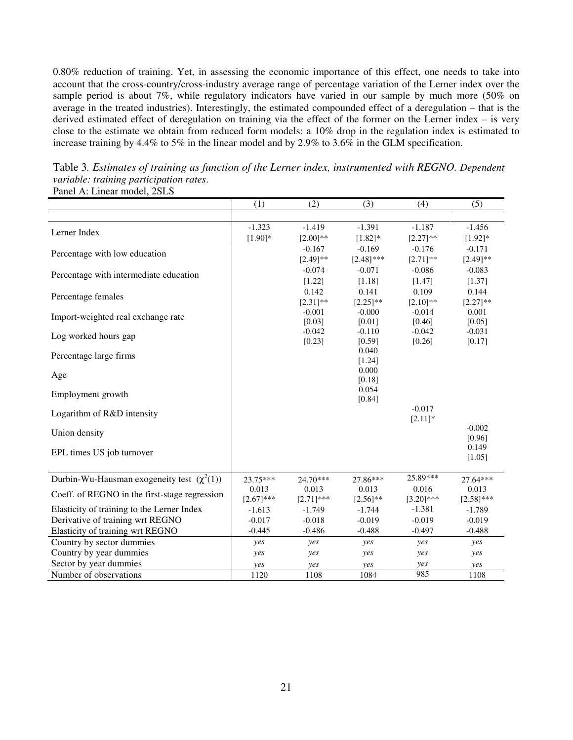0.80% reduction of training. Yet, in assessing the economic importance of this effect, one needs to take into account that the cross-country/cross-industry average range of percentage variation of the Lerner index over the sample period is about 7%, while regulatory indicators have varied in our sample by much more (50% on average in the treated industries). Interestingly, the estimated compounded effect of a deregulation – that is the derived estimated effect of deregulation on training via the effect of the former on the Lerner index – is very close to the estimate we obtain from reduced form models: a 10% drop in the regulation index is estimated to increase training by 4.4% to 5% in the linear model and by 2.9% to 3.6% in the GLM specification.

|                                                 | (1)          | (2)                | (3)                | (4)                | (5)                |
|-------------------------------------------------|--------------|--------------------|--------------------|--------------------|--------------------|
|                                                 |              |                    |                    |                    |                    |
| Lerner Index                                    | $-1.323$     | $-1.419$           | $-1.391$           | $-1.187$           | $-1.456$           |
|                                                 | $[1.90]$ *   | $[2.00]$ **        | $[1.82]$ *         | $[2.27]$ **        | $[1.92]$ *         |
| Percentage with low education                   |              | $-0.167$           | $-0.169$           | $-0.176$           | $-0.171$           |
|                                                 |              | $[2.49]$ **        | $[2.48]$ ***       | $[2.71]$ **        | $[2.49]$ **        |
| Percentage with intermediate education          |              | $-0.074$           | $-0.071$           | $-0.086$           | $-0.083$           |
|                                                 |              | [1.22]             | [1.18]             | [1.47]             | [1.37]             |
| Percentage females                              |              | 0.142              | 0.141              | 0.109              | 0.144              |
|                                                 |              | $[2.31]$ **        | $[2.25]$ **        | $[2.10]$ **        | $[2.27]$ **        |
| Import-weighted real exchange rate              |              | $-0.001$           | $-0.000$           | $-0.014$           | 0.001              |
|                                                 |              | [0.03]             | [0.01]             | [0.46]             | [0.05]             |
| Log worked hours gap                            |              | $-0.042$<br>[0.23] | $-0.110$<br>[0.59] | $-0.042$<br>[0.26] | $-0.031$<br>[0.17] |
|                                                 |              |                    | 0.040              |                    |                    |
| Percentage large firms                          |              |                    | [1.24]             |                    |                    |
|                                                 |              |                    | 0.000              |                    |                    |
| Age                                             |              |                    | [0.18]             |                    |                    |
| Employment growth                               |              |                    | 0.054              |                    |                    |
|                                                 |              |                    | [0.84]             |                    |                    |
| Logarithm of R&D intensity                      |              |                    |                    | $-0.017$           |                    |
|                                                 |              |                    |                    | $[2.11]*$          | $-0.002$           |
| Union density                                   |              |                    |                    |                    | [0.96]             |
|                                                 |              |                    |                    |                    | 0.149              |
| EPL times US job turnover                       |              |                    |                    |                    | [1.05]             |
|                                                 |              |                    |                    |                    |                    |
| Durbin-Wu-Hausman exogeneity test $(\chi^2(1))$ | 23.75***     | $24.70***$         | 27.86***           | 25.89***           | 27.64***           |
| Coeff. of REGNO in the first-stage regression   | 0.013        | 0.013              | 0.013              | 0.016              | 0.013              |
|                                                 | $[2.67]$ *** | $[2.71]$ ***       | $[2.56]$ **        | $[3.20]$ ***       | $[2.58]$ ***       |
| Elasticity of training to the Lerner Index      | $-1.613$     | $-1.749$           | $-1.744$           | $-1.381$           | $-1.789$           |
| Derivative of training wrt REGNO                | $-0.017$     | $-0.018$           | $-0.019$           | $-0.019$           | $-0.019$           |
| Elasticity of training wrt REGNO                | $-0.445$     | $-0.486$           | $-0.488$           | $-0.497$           | $-0.488$           |
| Country by sector dummies                       | yes          | yes                | yes                | yes                | yes                |
| Country by year dummies                         | yes          | yes                | yes                | yes                | yes                |
| Sector by year dummies                          | yes          | yes                | yes                | yes                | yes                |
| Number of observations                          | 1120         | 1108               | 1084               | 985                | 1108               |

Table 3*. Estimates of training as function of the Lerner index, instrumented with REGNO. Dependent variable: training participation rates*. Panel A: Linear model, 2SLS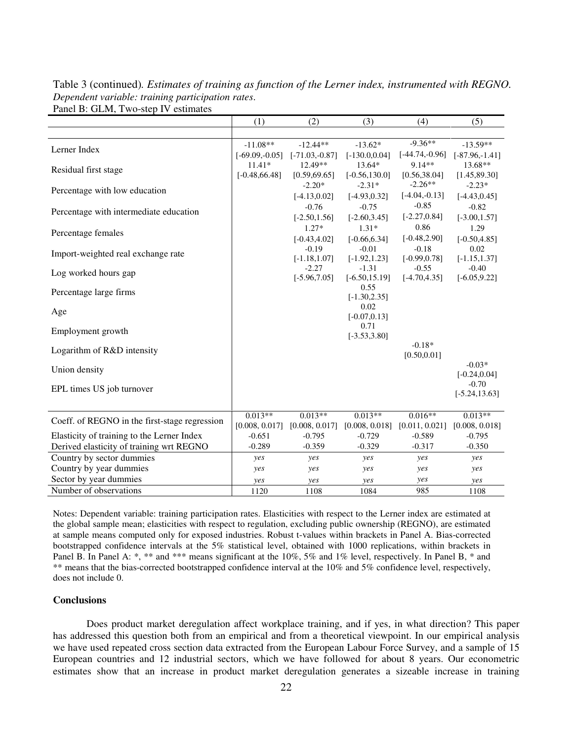Table 3 (continued)*. Estimates of training as function of the Lerner index, instrumented with REGNO. Dependent variable: training participation rates*. Panel B: GLM, Two-step IV estimates

|                                               | (1)              | (2)                        | (3)                        | (4)                        | (5)                     |
|-----------------------------------------------|------------------|----------------------------|----------------------------|----------------------------|-------------------------|
|                                               |                  |                            |                            |                            |                         |
| Lerner Index                                  | $-11.08**$       | $-12.44**$                 | $-13.62*$                  | $-9.36**$                  | $-13.59**$              |
|                                               | $[-69.09,-0.05]$ | $[-71.03,-0.87]$           | $[-130.0, 0.04]$           | $[-44.74,-0.96]$           | $[-87.96,-1.41]$        |
| Residual first stage                          | $11.41*$         | 12.49**                    | $13.64*$                   | $9.14**$                   | 13.68**                 |
|                                               | $[-0.48, 66.48]$ | [0.59, 69.65]              | $[-0.56, 130.0]$           | [0.56, 38.04]              | [1.45, 89.30]           |
| Percentage with low education                 |                  | $-2.20*$                   | $-2.31*$                   | $-2.26**$                  | $-2.23*$                |
|                                               |                  | $[-4.13, 0.02]$            | $[-4.93, 0.32]$            | $[-4.04,-0.13]$            | $[-4.43, 0.45]$         |
| Percentage with intermediate education        |                  | $-0.76$                    | $-0.75$                    | $-0.85$                    | $-0.82$                 |
|                                               |                  | $[-2.50, 1.56]$            | $[-2.60, 3.45]$            | $[-2.27, 0.84]$            | $[-3.00, 1.57]$         |
| Percentage females                            |                  | $1.27*$                    | $1.31*$                    | 0.86                       | 1.29                    |
|                                               |                  | $[-0.43, 4.02]$            | $[-0.66, 6.34]$<br>$-0.01$ | $[-0.48, 2.90]$            | $[-0.50, 4.85]$<br>0.02 |
| Import-weighted real exchange rate            |                  | $-0.19$<br>$[-1.18, 1.07]$ | $[-1.92, 1.23]$            | $-0.18$<br>$[-0.99, 0.78]$ | $[-1.15, 1.37]$         |
|                                               |                  | $-2.27$                    | $-1.31$                    | $-0.55$                    | $-0.40$                 |
| Log worked hours gap                          |                  | $[-5.96, 7.05]$            | $[-6.50, 15.19]$           | $[-4.70, 4.35]$            | $[-6.05, 9.22]$         |
| Percentage large firms                        |                  |                            | 0.55                       |                            |                         |
|                                               |                  |                            | $[-1.30, 2.35]$            |                            |                         |
| Age                                           |                  |                            | 0.02                       |                            |                         |
|                                               |                  |                            | $[-0.07, 0.13]$            |                            |                         |
| Employment growth                             |                  |                            | 0.71<br>$[-3.53, 3.80]$    |                            |                         |
|                                               |                  |                            |                            | $-0.18*$                   |                         |
| Logarithm of R&D intensity                    |                  |                            |                            | [0.50, 0.01]               |                         |
|                                               |                  |                            |                            |                            | $-0.03*$                |
| Union density                                 |                  |                            |                            |                            | $[-0.24, 0.04]$         |
| EPL times US job turnover                     |                  |                            |                            |                            | $-0.70$                 |
|                                               |                  |                            |                            |                            | $[-5.24, 13.63]$        |
|                                               |                  |                            |                            |                            |                         |
| Coeff. of REGNO in the first-stage regression | $0.013**$        | $0.013**$                  | $0.013**$                  | $0.016**$                  | $0.013**$               |
|                                               | [0.008, 0.017]   | [0.008, 0.017]             | [0.008, 0.018]             | [0.011, 0.021]             | [0.008, 0.018]          |
| Elasticity of training to the Lerner Index    | $-0.651$         | $-0.795$                   | $-0.729$                   | $-0.589$                   | $-0.795$                |
| Derived elasticity of training wrt REGNO      | $-0.289$         | $-0.359$                   | $-0.329$                   | $-0.317$                   | $-0.350$                |
| Country by sector dummies                     | yes              | yes                        | yes                        | yes                        | yes                     |
| Country by year dummies                       | yes              | yes                        | yes                        | yes                        | yes                     |
| Sector by year dummies                        | yes              | yes                        | yes                        | yes                        | yes                     |
| Number of observations                        | 1120             | 1108                       | 1084                       | 985                        | 1108                    |

Notes: Dependent variable: training participation rates. Elasticities with respect to the Lerner index are estimated at the global sample mean; elasticities with respect to regulation, excluding public ownership (REGNO), are estimated at sample means computed only for exposed industries. Robust t-values within brackets in Panel A. Bias-corrected bootstrapped confidence intervals at the 5% statistical level, obtained with 1000 replications, within brackets in Panel B. In Panel A: \*, \*\* and \*\*\* means significant at the 10%, 5% and 1% level, respectively. In Panel B, \* and \*\* means that the bias-corrected bootstrapped confidence interval at the 10% and 5% confidence level, respectively, does not include 0.

#### **Conclusions**

Does product market deregulation affect workplace training, and if yes, in what direction? This paper has addressed this question both from an empirical and from a theoretical viewpoint. In our empirical analysis we have used repeated cross section data extracted from the European Labour Force Survey, and a sample of 15 European countries and 12 industrial sectors, which we have followed for about 8 years. Our econometric estimates show that an increase in product market deregulation generates a sizeable increase in training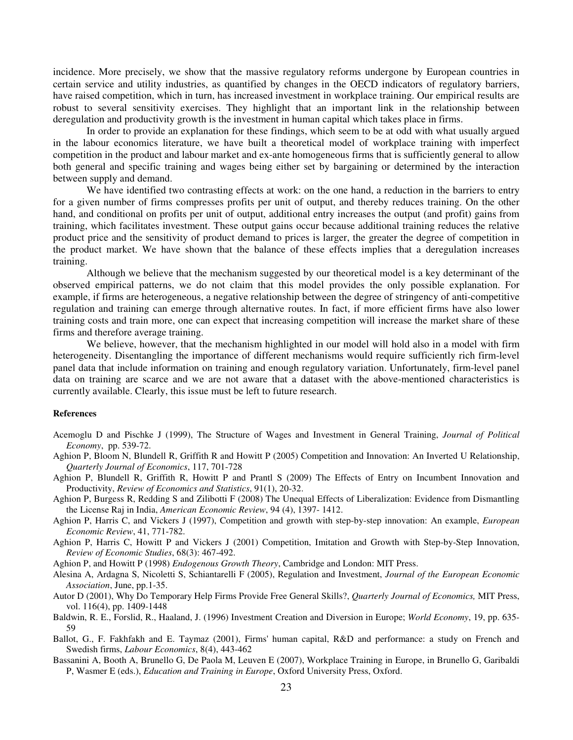incidence. More precisely, we show that the massive regulatory reforms undergone by European countries in certain service and utility industries, as quantified by changes in the OECD indicators of regulatory barriers, have raised competition, which in turn, has increased investment in workplace training. Our empirical results are robust to several sensitivity exercises. They highlight that an important link in the relationship between deregulation and productivity growth is the investment in human capital which takes place in firms.

In order to provide an explanation for these findings, which seem to be at odd with what usually argued in the labour economics literature, we have built a theoretical model of workplace training with imperfect competition in the product and labour market and ex-ante homogeneous firms that is sufficiently general to allow both general and specific training and wages being either set by bargaining or determined by the interaction between supply and demand.

We have identified two contrasting effects at work: on the one hand, a reduction in the barriers to entry for a given number of firms compresses profits per unit of output, and thereby reduces training. On the other hand, and conditional on profits per unit of output, additional entry increases the output (and profit) gains from training, which facilitates investment. These output gains occur because additional training reduces the relative product price and the sensitivity of product demand to prices is larger, the greater the degree of competition in the product market. We have shown that the balance of these effects implies that a deregulation increases training.

Although we believe that the mechanism suggested by our theoretical model is a key determinant of the observed empirical patterns, we do not claim that this model provides the only possible explanation. For example, if firms are heterogeneous, a negative relationship between the degree of stringency of anti-competitive regulation and training can emerge through alternative routes. In fact, if more efficient firms have also lower training costs and train more, one can expect that increasing competition will increase the market share of these firms and therefore average training.

We believe, however, that the mechanism highlighted in our model will hold also in a model with firm heterogeneity. Disentangling the importance of different mechanisms would require sufficiently rich firm-level panel data that include information on training and enough regulatory variation. Unfortunately, firm-level panel data on training are scarce and we are not aware that a dataset with the above-mentioned characteristics is currently available. Clearly, this issue must be left to future research.

#### **References**

- Acemoglu D and Pischke J (1999), The Structure of Wages and Investment in General Training, *Journal of Political Economy*, pp. 539-72.
- Aghion P, Bloom N, Blundell R, Griffith R and Howitt P (2005) Competition and Innovation: An Inverted U Relationship, *Quarterly Journal of Economics*, 117, 701-728
- Aghion P, Blundell R, Griffith R, Howitt P and Prantl S (2009) The Effects of Entry on Incumbent Innovation and Productivity, *Review of Economics and Statistics*, 91(1), 20-32.
- Aghion P, Burgess R, Redding S and Zilibotti F (2008) The Unequal Effects of Liberalization: Evidence from Dismantling the License Raj in India, *American Economic Review*, 94 (4), 1397- 1412.
- Aghion P, Harris C, and Vickers J (1997), Competition and growth with step-by-step innovation: An example, *European Economic Review*, 41, 771-782.
- Aghion P, Harris C, Howitt P and Vickers J (2001) Competition, Imitation and Growth with Step-by-Step Innovation, *Review of Economic Studies*, 68(3): 467-492.

Aghion P, and Howitt P (1998) *Endogenous Growth Theory*, Cambridge and London: MIT Press.

- Alesina A, Ardagna S, Nicoletti S, Schiantarelli F (2005), Regulation and Investment, *Journal of the European Economic Association*, June, pp.1-35.
- Autor D (2001), Why Do Temporary Help Firms Provide Free General Skills?, *Quarterly Journal of Economics,* MIT Press, vol. 116(4), pp. 1409-1448
- Baldwin, R. E., Forslid, R., Haaland, J. (1996) Investment Creation and Diversion in Europe; *World Economy*, 19, pp. 635- 59
- Ballot, G., F. Fakhfakh and E. Taymaz (2001), Firms' human capital, R&D and performance: a study on French and Swedish firms, *Labour Economics*, 8(4), 443-462
- Bassanini A, Booth A, Brunello G, De Paola M, Leuven E (2007), Workplace Training in Europe, in Brunello G, Garibaldi P, Wasmer E (eds.), *Education and Training in Europe*, Oxford University Press, Oxford.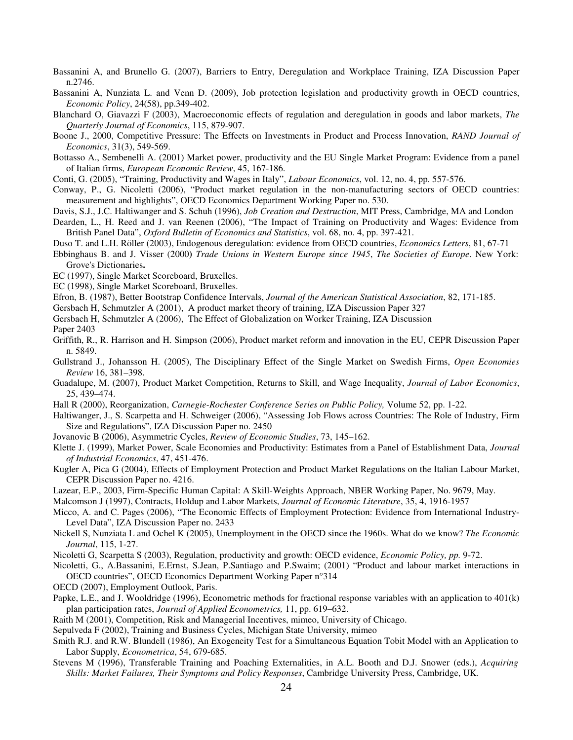- Bassanini A, and Brunello G. (2007), Barriers to Entry, Deregulation and Workplace Training, IZA Discussion Paper n.2746.
- Bassanini A, Nunziata L. and Venn D. (2009), Job protection legislation and productivity growth in OECD countries, *Economic Policy*, 24(58), pp.349-402.
- Blanchard O, Giavazzi F (2003), Macroeconomic effects of regulation and deregulation in goods and labor markets, *The Quarterly Journal of Economics*, 115, 879-907.
- Boone J., 2000, Competitive Pressure: The Effects on Investments in Product and Process Innovation, *RAND Journal of Economics*, 31(3), 549-569.
- Bottasso A., Sembenelli A. (2001) Market power, productivity and the EU Single Market Program: Evidence from a panel of Italian firms, *European Economic Review*, 45, 167-186.
- Conti, G. (2005), "Training, Productivity and Wages in Italy", *Labour Economics*, vol. 12, no. 4, pp. 557-576.
- Conway, P., G. Nicoletti (2006), "Product market regulation in the non-manufacturing sectors of OECD countries: measurement and highlights", OECD Economics Department Working Paper no. 530.
- Davis, S.J., J.C. Haltiwanger and S. Schuh (1996), *Job Creation and Destruction*, MIT Press, Cambridge, MA and London
- Dearden, L., H. Reed and J. van Reenen (2006), "The Impact of Training on Productivity and Wages: Evidence from British Panel Data", *Oxford Bulletin of Economics and Statistics*, vol. 68, no. 4, pp. 397-421.
- Duso T. and L.H. Röller (2003), Endogenous deregulation: evidence from OECD countries, *Economics Letters*, 81, 67-71
- Ebbinghaus B. and J. Visser (2000**)** *Trade Unions in Western Europe since 1945*, *The Societies of Europe*. New York: Grove's Dictionaries**.**
- EC (1997), Single Market Scoreboard, Bruxelles.
- EC (1998), Single Market Scoreboard, Bruxelles.
- Efron, B. (1987), Better Bootstrap Confidence Intervals, *Journal of the American Statistical Association*, 82, 171-185.
- Gersbach H, Schmutzler A (2001), A product market theory of training, IZA Discussion Paper 327
- Gersbach H, Schmutzler A (2006), The Effect of Globalization on Worker Training, IZA Discussion

Paper 2403

- Griffith, R., R. Harrison and H. Simpson (2006), Product market reform and innovation in the EU, CEPR Discussion Paper n. 5849.
- Gullstrand J., Johansson H. (2005), The Disciplinary Effect of the Single Market on Swedish Firms, *Open Economies Review* 16, 381–398.
- Guadalupe, M. (2007), Product Market Competition, Returns to Skill, and Wage Inequality, *Journal of Labor Economics*, 25, 439–474.
- Hall R (2000), Reorganization, *Carnegie-Rochester Conference Series on Public Policy,* Volume 52, pp. 1-22.
- Haltiwanger, J., S. Scarpetta and H. Schweiger (2006), "Assessing Job Flows across Countries: The Role of Industry, Firm Size and Regulations", IZA Discussion Paper no. 2450
- Jovanovic B (2006), Asymmetric Cycles, *Review of Economic Studies*, 73, 145–162.
- Klette J. (1999), Market Power, Scale Economies and Productivity: Estimates from a Panel of Establishment Data, *Journal of Industrial Economics*, 47, 451-476.
- Kugler A, Pica G (2004), Effects of Employment Protection and Product Market Regulations on the Italian Labour Market, CEPR Discussion Paper no. 4216.
- Lazear, E.P., 2003, Firm-Specific Human Capital: A Skill-Weights Approach, NBER Working Paper, No. 9679, May.
- Malcomson J (1997), Contracts, Holdup and Labor Markets, *Journal of Economic Literature*, 35, 4, 1916-1957
- Micco, A. and C. Pages (2006), "The Economic Effects of Employment Protection: Evidence from International Industry-Level Data", IZA Discussion Paper no. 2433
- Nickell S, Nunziata L and Ochel K (2005), Unemployment in the OECD since the 1960s. What do we know? *The Economic Journal*, 115, 1-27.
- Nicoletti G, Scarpetta S (2003), Regulation, productivity and growth: OECD evidence, *Economic Policy, pp.* 9-72.
- Nicoletti, G., A.Bassanini, E.Ernst, S.Jean, P.Santiago and P.Swaim; (2001) "Product and labour market interactions in OECD countries", OECD Economics Department Working Paper n°314
- OECD (2007), Employment Outlook, Paris.
- Papke, L.E., and J. Wooldridge (1996), Econometric methods for fractional response variables with an application to 401(k) plan participation rates, *Journal of Applied Econometrics,* 11, pp. 619–632.
- Raith M (2001), Competition, Risk and Managerial Incentives, mimeo, University of Chicago.
- Sepulveda F (2002), Training and Business Cycles, Michigan State University, mimeo
- Smith R.J. and R.W. Blundell (1986), An Exogeneity Test for a Simultaneous Equation Tobit Model with an Application to Labor Supply, *Econometrica*, 54, 679-685.
- Stevens M (1996), Transferable Training and Poaching Externalities, in A.L. Booth and D.J. Snower (eds.), *Acquiring Skills: Market Failures, Their Symptoms and Policy Responses*, Cambridge University Press, Cambridge, UK.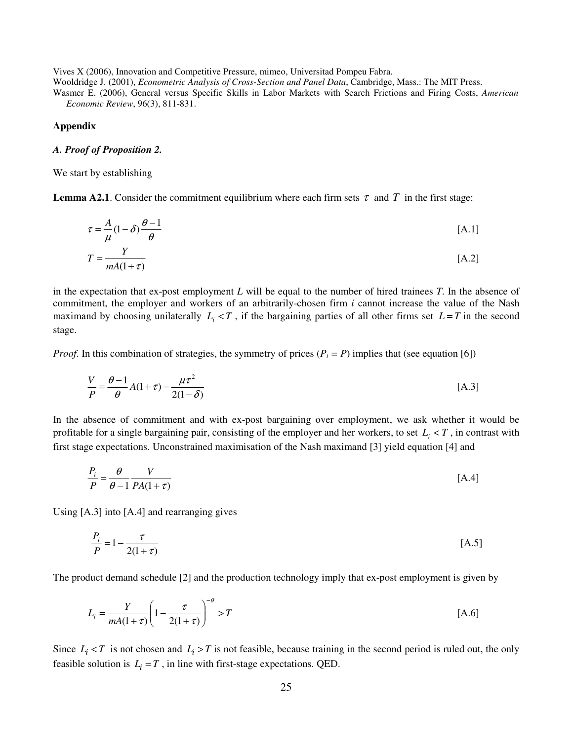Vives X (2006), Innovation and Competitive Pressure, mimeo, Universitad Pompeu Fabra.

Wooldridge J. (2001), *Econometric Analysis of Cross-Section and Panel Data*, Cambridge, Mass.: The MIT Press.

Wasmer E. (2006), General versus Specific Skills in Labor Markets with Search Frictions and Firing Costs, *American Economic Review*, 96(3), 811-831.

#### **Appendix**

#### *A. Proof of Proposition 2.*

We start by establishing

**Lemma A2.1**. Consider the commitment equilibrium where each firm sets  $\tau$  and  $T$  in the first stage:

$$
\tau = \frac{A}{\mu} (1 - \delta) \frac{\theta - 1}{\theta} \tag{A.1}
$$

$$
T = \frac{Y}{mA(1+\tau)}\tag{A.2}
$$

in the expectation that ex-post employment *L* will be equal to the number of hired trainees *T*. In the absence of commitment, the employer and workers of an arbitrarily-chosen firm *i* cannot increase the value of the Nash maximand by choosing unilaterally  $L_i < T$ , if the bargaining parties of all other firms set  $L = T$  in the second stage.

*Proof.* In this combination of strategies, the symmetry of prices  $(P_i = P)$  implies that (see equation [6])

$$
\frac{V}{P} = \frac{\theta - 1}{\theta} A(1 + \tau) - \frac{\mu \tau^2}{2(1 - \delta)}
$$
 [A.3]

In the absence of commitment and with ex-post bargaining over employment, we ask whether it would be profitable for a single bargaining pair, consisting of the employer and her workers, to set  $L_i < T$ , in contrast with first stage expectations. Unconstrained maximisation of the Nash maximand [3] yield equation [4] and

$$
\frac{P_i}{P} = \frac{\theta}{\theta - 1} \frac{V}{PA(1 + \tau)}
$$
 [A.4]

Using [A.3] into [A.4] and rearranging gives

$$
\frac{P_i}{P} = 1 - \frac{\tau}{2(1+\tau)}
$$
 [A.5]

The product demand schedule [2] and the production technology imply that ex-post employment is given by

$$
L_i = \frac{Y}{mA(1+\tau)} \left(1 - \frac{\tau}{2(1+\tau)}\right)^{-\theta} > T
$$
 [A.6]

Since  $L_i < T$  is not chosen and  $L_i > T$  is not feasible, because training in the second period is ruled out, the only feasible solution is  $L_i = T$ , in line with first-stage expectations. QED.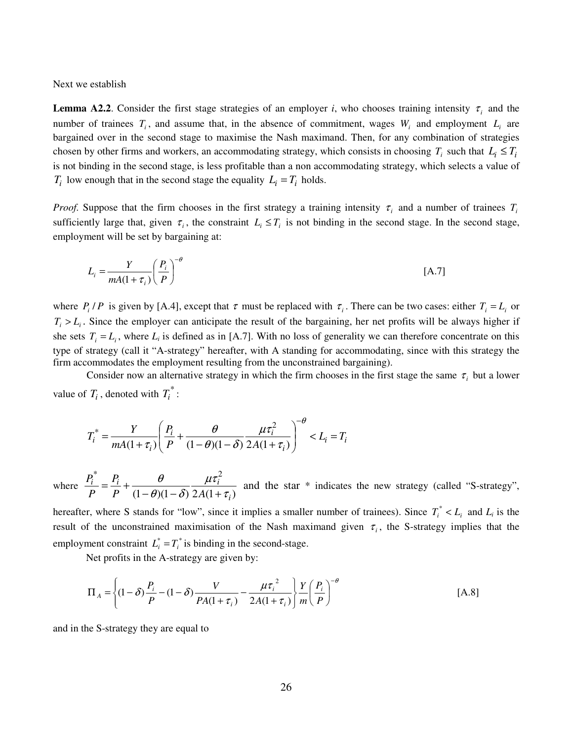Next we establish

**Lemma A2.2**. Consider the first stage strategies of an employer *i*, who chooses training intensity  $\tau_i$  and the number of trainees  $T_i$ , and assume that, in the absence of commitment, wages  $W_i$  and employment  $L_i$  are bargained over in the second stage to maximise the Nash maximand. Then, for any combination of strategies chosen by other firms and workers, an accommodating strategy, which consists in choosing  $T_i$  such that  $L_i \leq T_i$ is not binding in the second stage, is less profitable than a non accommodating strategy, which selects a value of *T*<sub>*i*</sub> low enough that in the second stage the equality  $L_i = T_i$  holds.

*Proof.* Suppose that the firm chooses in the first strategy a training intensity  $\tau$ <sub>*i*</sub> and a number of trainees  $T$ <sup>*i*</sup></sup> sufficiently large that, given  $\tau_i$ , the constraint  $L_i \leq T_i$  is not binding in the second stage. In the second stage, employment will be set by bargaining at:

$$
L_i = \frac{Y}{mA(1+\tau_i)} \left(\frac{P_i}{P}\right)^{-\theta} \tag{A.7}
$$

where  $P_i/P$  is given by [A.4], except that  $\tau$  must be replaced with  $\tau_i$ . There can be two cases: either  $T_i = L_i$  or  $T_i > L_i$ . Since the employer can anticipate the result of the bargaining, her net profits will be always higher if she sets  $T_i = L_i$ , where  $L_i$  is defined as in [A.7]. With no loss of generality we can therefore concentrate on this type of strategy (call it "A-strategy" hereafter, with A standing for accommodating, since with this strategy the firm accommodates the employment resulting from the unconstrained bargaining).

Consider now an alternative strategy in which the firm chooses in the first stage the same  $\tau_i$  but a lower value of  $T_i$ , denoted with  $T_i^*$ :

$$
T_i^* = \frac{Y}{mA(1+\tau_i)} \left( \frac{P_i}{P} + \frac{\theta}{(1-\theta)(1-\delta)} \frac{\mu \tau_i^2}{2A(1+\tau_i)} \right)^{-\theta} < L_i = T_i
$$

where  $(1 - \theta)(1 - \delta) 2A(1 + \tau_i)$ \*  $\boldsymbol{p}$   $\boldsymbol{q}$   $\boldsymbol{u}\tau^2$ *i*  $\frac{a}{i}$   $\frac{F_i}{i}$   $\frac{b}{i}$   $\frac{b}{i}$   $\frac{b}{i}$  $P \left(1-\theta(1-\delta) 2A\right)$ *P P P* τ µτ  $\theta$ )(1 –  $\delta$ θ  $-\theta$ )(1 –  $\delta$ ) 2A(1 +  $=\frac{F_i}{R}+\frac{V_i}{r^2}$  and the star \* indicates the new strategy (called "S-strategy",

hereafter, where S stands for "low", since it implies a smaller number of trainees). Since  $T_i^* < L_i$  and  $L_i$  is the result of the unconstrained maximisation of the Nash maximand given  $\tau_i$ , the S-strategy implies that the employment constraint  $L_i^* = T_i^*$  is binding in the second-stage.

Net profits in the A-strategy are given by:

$$
\Pi_A = \left\{ (1 - \delta) \frac{P_i}{P} - (1 - \delta) \frac{V}{PA(1 + \tau_i)} - \frac{\mu \tau_i^2}{2A(1 + \tau_i)} \right\} \frac{Y}{m} \left( \frac{P_i}{P} \right)^{-\theta} \tag{A.8}
$$

and in the S-strategy they are equal to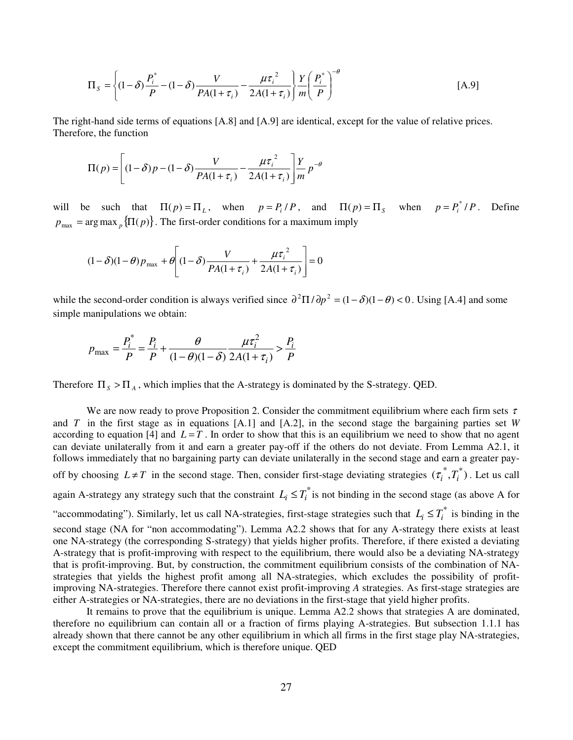$$
\Pi_{S} = \left\{ (1 - \delta) \frac{P_i^*}{P} - (1 - \delta) \frac{V}{PA(1 + \tau_i)} - \frac{\mu \tau_i^2}{2A(1 + \tau_i)} \right\} \frac{Y}{m} \left( \frac{P_i^*}{P} \right)^{-\theta} \tag{A.9}
$$

The right-hand side terms of equations [A.8] and [A.9] are identical, except for the value of relative prices. Therefore, the function

$$
\Pi(p) = \left[ (1 - \delta)p - (1 - \delta) \frac{V}{PA(1 + \tau_i)} - \frac{\mu \tau_i^2}{2A(1 + \tau_i)} \right] \frac{Y}{m} p^{-\theta}
$$

will be such that  $\Pi(p) = \Pi_L$ , when  $p = P_i/P$ , and  $\Pi(p) = \Pi_S$  when  $p = P_i^* / P$ . Define  $p_{\text{max}} = \arg \max_{p} {\{\Pi(p)\}\}\$ . The first-order conditions for a maximum imply

$$
(1 - \delta)(1 - \theta)p_{\text{max}} + \theta \left[ (1 - \delta) \frac{V}{PA(1 + \tau_i)} + \frac{\mu \tau_i^2}{2A(1 + \tau_i)} \right] = 0
$$

while the second-order condition is always verified since  $\partial^2 \Pi / \partial p^2 = (1 - \delta)(1 - \theta) < 0$ . Using [A.4] and some simple manipulations we obtain:

$$
p_{\max} = \frac{P_i^*}{P} = \frac{P_i}{P} + \frac{\theta}{(1-\theta)(1-\delta)} \frac{\mu \tau_i^2}{2A(1+\tau_i)} > \frac{P_i}{P}
$$

Therefore  $\Pi_s > \Pi_A$ , which implies that the A-strategy is dominated by the S-strategy. QED.

We are now ready to prove Proposition 2. Consider the commitment equilibrium where each firm sets  $\tau$ and *T* in the first stage as in equations [A.1] and [A.2], in the second stage the bargaining parties set *W* according to equation [4] and  $L = T$ . In order to show that this is an equilibrium we need to show that no agent can deviate unilaterally from it and earn a greater pay-off if the others do not deviate. From Lemma A2.1, it follows immediately that no bargaining party can deviate unilaterally in the second stage and earn a greater payoff by choosing  $L \neq T$  in the second stage. Then, consider first-stage deviating strategies  $(\tau_i^*, T_i^*)$ . Let us call again A-strategy any strategy such that the constraint  $L_i \leq T_i^*$  is not binding in the second stage (as above A for "accommodating"). Similarly, let us call NA-strategies, first-stage strategies such that  $L_i \leq T_i^*$  is binding in the second stage (NA for "non accommodating"). Lemma A2.2 shows that for any A-strategy there exists at least one NA-strategy (the corresponding S-strategy) that yields higher profits. Therefore, if there existed a deviating A-strategy that is profit-improving with respect to the equilibrium, there would also be a deviating NA-strategy that is profit-improving. But, by construction, the commitment equilibrium consists of the combination of NAstrategies that yields the highest profit among all NA-strategies, which excludes the possibility of profitimproving NA-strategies. Therefore there cannot exist profit-improving *A* strategies. As first-stage strategies are either A-strategies or NA-strategies, there are no deviations in the first-stage that yield higher profits.

It remains to prove that the equilibrium is unique. Lemma A2.2 shows that strategies A are dominated, therefore no equilibrium can contain all or a fraction of firms playing A-strategies. But subsection 1.1.1 has already shown that there cannot be any other equilibrium in which all firms in the first stage play NA-strategies, except the commitment equilibrium, which is therefore unique. QED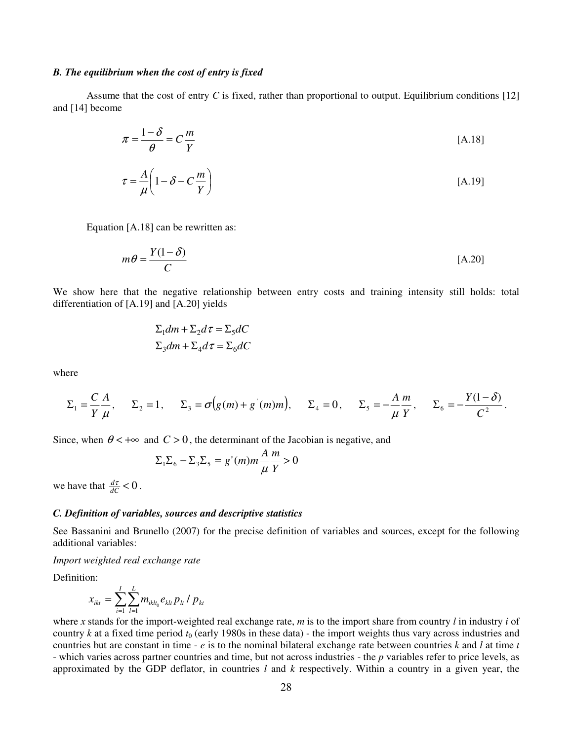#### *B. The equilibrium when the cost of entry is fixed*

Assume that the cost of entry *C* is fixed, rather than proportional to output. Equilibrium conditions [12] and [14] become

$$
\pi = \frac{1 - \delta}{\theta} = C \frac{m}{Y}
$$
 [A.18]

$$
\tau = \frac{A}{\mu} \left( 1 - \delta - C \frac{m}{Y} \right) \tag{A.19}
$$

Equation [A.18] can be rewritten as:

$$
m\theta = \frac{Y(1-\delta)}{C}
$$
 [A.20]

We show here that the negative relationship between entry costs and training intensity still holds: total differentiation of [A.19] and [A.20] yields

$$
\Sigma_1 dm + \Sigma_2 d\tau = \Sigma_5 dC
$$
  

$$
\Sigma_3 dm + \Sigma_4 d\tau = \Sigma_6 dC
$$

where

$$
\Sigma_1 = \frac{C}{Y} \frac{A}{\mu},
$$
\n $\Sigma_2 = 1,$ \n $\Sigma_3 = \sigma(g(m) + g'(m)m),$ \n $\Sigma_4 = 0,$ \n $\Sigma_5 = -\frac{A}{\mu} \frac{m}{Y},$ \n $\Sigma_6 = -\frac{Y(1-\delta)}{C^2}.$ 

Since, when  $\theta$  < + $\infty$  and  $C > 0$ , the determinant of the Jacobian is negative, and

$$
\Sigma_1 \Sigma_6 - \Sigma_3 \Sigma_5 = g'(m)m \frac{A}{\mu} \frac{m}{Y} > 0
$$

we have that  $\frac{d\tau}{dC} < 0$ .

#### *C. Definition of variables, sources and descriptive statistics*

See Bassanini and Brunello (2007) for the precise definition of variables and sources, except for the following additional variables:

*Import weighted real exchange rate* 

Definition:

$$
x_{ikt} = \sum_{i=1}^{I} \sum_{l=1}^{L} m_{iklt_0} e_{klt} p_{lt} / p_{kt}
$$

where *x* stands for the import-weighted real exchange rate, *m* is to the import share from country *l* in industry *i* of country  $k$  at a fixed time period  $t_0$  (early 1980s in these data) - the import weights thus vary across industries and countries but are constant in time - *e* is to the nominal bilateral exchange rate between countries *k* and *l* at time *t* - which varies across partner countries and time, but not across industries - the *p* variables refer to price levels, as approximated by the GDP deflator, in countries *l* and *k* respectively. Within a country in a given year, the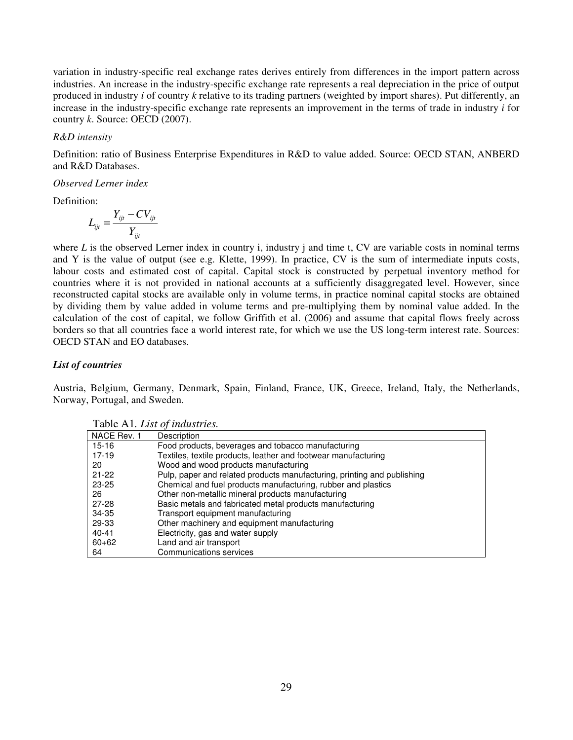variation in industry-specific real exchange rates derives entirely from differences in the import pattern across industries. An increase in the industry-specific exchange rate represents a real depreciation in the price of output produced in industry *i* of country *k* relative to its trading partners (weighted by import shares). Put differently, an increase in the industry-specific exchange rate represents an improvement in the terms of trade in industry *i* for country *k*. Source: OECD (2007).

#### *R&D intensity*

Definition: ratio of Business Enterprise Expenditures in R&D to value added. Source: OECD STAN, ANBERD and R&D Databases.

#### *Observed Lerner index*

Definition:

$$
L_{ijt} = \frac{Y_{ijt} - CV_{ijt}}{Y_{ijt}}
$$

where *L* is the observed Lerner index in country *i*, industry *j* and time *t*, CV are variable costs in nominal terms and Y is the value of output (see e.g. Klette, 1999). In practice, CV is the sum of intermediate inputs costs, labour costs and estimated cost of capital. Capital stock is constructed by perpetual inventory method for countries where it is not provided in national accounts at a sufficiently disaggregated level. However, since reconstructed capital stocks are available only in volume terms, in practice nominal capital stocks are obtained by dividing them by value added in volume terms and pre-multiplying them by nominal value added. In the calculation of the cost of capital, we follow Griffith et al. (2006) and assume that capital flows freely across borders so that all countries face a world interest rate, for which we use the US long-term interest rate. Sources: OECD STAN and EO databases.

#### *List of countries*

Austria, Belgium, Germany, Denmark, Spain, Finland, France, UK, Greece, Ireland, Italy, the Netherlands, Norway, Portugal, and Sweden.

|             | <b>Tuble Till</b> , Less of mansh ros.                                  |
|-------------|-------------------------------------------------------------------------|
| NACE Rev. 1 | Description                                                             |
| 15-16       | Food products, beverages and tobacco manufacturing                      |
| 17-19       | Textiles, textile products, leather and footwear manufacturing          |
| -20         | Wood and wood products manufacturing                                    |
| $21 - 22$   | Pulp, paper and related products manufacturing, printing and publishing |
| 23-25       | Chemical and fuel products manufacturing, rubber and plastics           |
| 26          | Other non-metallic mineral products manufacturing                       |
| 27-28       | Basic metals and fabricated metal products manufacturing                |
| 34-35       | Transport equipment manufacturing                                       |
| 29-33       | Other machinery and equipment manufacturing                             |
| $40 - 41$   | Electricity, gas and water supply                                       |
| $60 + 62$   | Land and air transport                                                  |
| 64          | Communications services                                                 |

Table A1*. List of industries.*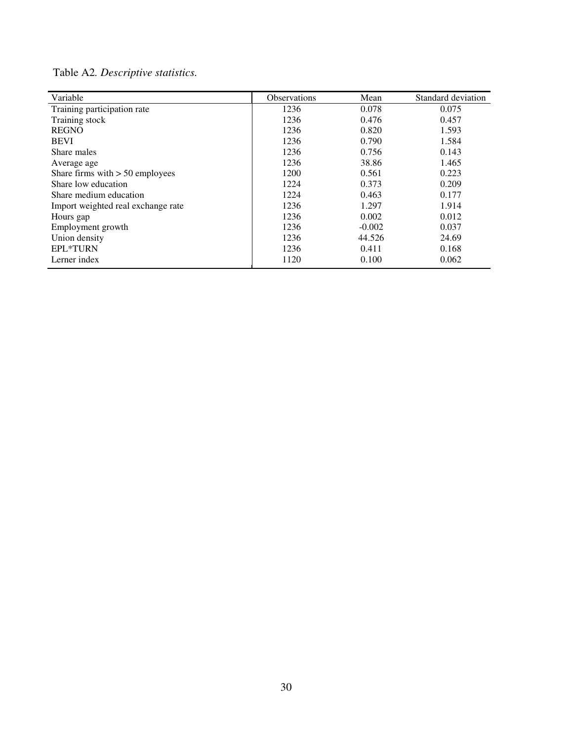Table A2*. Descriptive statistics.* 

| Variable                           | <b>Observations</b> | Mean     | Standard deviation |
|------------------------------------|---------------------|----------|--------------------|
| Training participation rate        | 1236                | 0.078    | 0.075              |
| Training stock                     | 1236                | 0.476    | 0.457              |
| <b>REGNO</b>                       | 1236                | 0.820    | 1.593              |
| <b>BEVI</b>                        | 1236                | 0.790    | 1.584              |
| Share males                        | 1236                | 0.756    | 0.143              |
| Average age                        | 1236                | 38.86    | 1.465              |
| Share firms with $> 50$ employees  | 1200                | 0.561    | 0.223              |
| Share low education                | 1224                | 0.373    | 0.209              |
| Share medium education             | 1224                | 0.463    | 0.177              |
| Import weighted real exchange rate | 1236                | 1.297    | 1.914              |
| Hours gap                          | 1236                | 0.002    | 0.012              |
| Employment growth                  | 1236                | $-0.002$ | 0.037              |
| Union density                      | 1236                | 44.526   | 24.69              |
| EPL*TURN                           | 1236                | 0.411    | 0.168              |
| Lerner index                       | 1120                | 0.100    | 0.062              |
|                                    |                     |          |                    |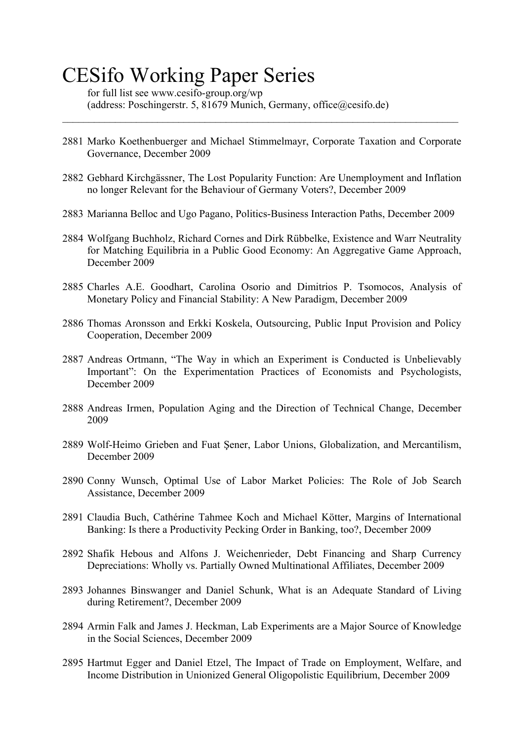# CESifo Working Paper Series

for full list see www.cesifo-group.org/wp (address: Poschingerstr. 5, 81679 Munich, Germany, office@cesifo.de)

2881 Marko Koethenbuerger and Michael Stimmelmayr, Corporate Taxation and Corporate Governance, December 2009

 $\_$  , and the contribution of the contribution of the contribution of the contribution of  $\mathcal{L}_\text{max}$ 

- 2882 Gebhard Kirchgässner, The Lost Popularity Function: Are Unemployment and Inflation no longer Relevant for the Behaviour of Germany Voters?, December 2009
- 2883 Marianna Belloc and Ugo Pagano, Politics-Business Interaction Paths, December 2009
- 2884 Wolfgang Buchholz, Richard Cornes and Dirk Rübbelke, Existence and Warr Neutrality for Matching Equilibria in a Public Good Economy: An Aggregative Game Approach, December 2009
- 2885 Charles A.E. Goodhart, Carolina Osorio and Dimitrios P. Tsomocos, Analysis of Monetary Policy and Financial Stability: A New Paradigm, December 2009
- 2886 Thomas Aronsson and Erkki Koskela, Outsourcing, Public Input Provision and Policy Cooperation, December 2009
- 2887 Andreas Ortmann, "The Way in which an Experiment is Conducted is Unbelievably Important": On the Experimentation Practices of Economists and Psychologists, December 2009
- 2888 Andreas Irmen, Population Aging and the Direction of Technical Change, December 2009
- 2889 Wolf-Heimo Grieben and Fuat Şener, Labor Unions, Globalization, and Mercantilism, December 2009
- 2890 Conny Wunsch, Optimal Use of Labor Market Policies: The Role of Job Search Assistance, December 2009
- 2891 Claudia Buch, Cathérine Tahmee Koch and Michael Kötter, Margins of International Banking: Is there a Productivity Pecking Order in Banking, too?, December 2009
- 2892 Shafik Hebous and Alfons J. Weichenrieder, Debt Financing and Sharp Currency Depreciations: Wholly vs. Partially Owned Multinational Affiliates, December 2009
- 2893 Johannes Binswanger and Daniel Schunk, What is an Adequate Standard of Living during Retirement?, December 2009
- 2894 Armin Falk and James J. Heckman, Lab Experiments are a Major Source of Knowledge in the Social Sciences, December 2009
- 2895 Hartmut Egger and Daniel Etzel, The Impact of Trade on Employment, Welfare, and Income Distribution in Unionized General Oligopolistic Equilibrium, December 2009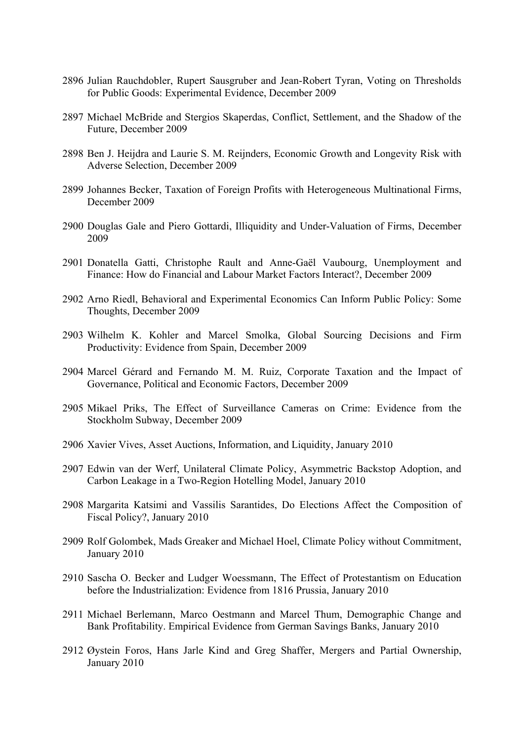- 2896 Julian Rauchdobler, Rupert Sausgruber and Jean-Robert Tyran, Voting on Thresholds for Public Goods: Experimental Evidence, December 2009
- 2897 Michael McBride and Stergios Skaperdas, Conflict, Settlement, and the Shadow of the Future, December 2009
- 2898 Ben J. Heijdra and Laurie S. M. Reijnders, Economic Growth and Longevity Risk with Adverse Selection, December 2009
- 2899 Johannes Becker, Taxation of Foreign Profits with Heterogeneous Multinational Firms, December 2009
- 2900 Douglas Gale and Piero Gottardi, Illiquidity and Under-Valuation of Firms, December 2009
- 2901 Donatella Gatti, Christophe Rault and Anne-Gaël Vaubourg, Unemployment and Finance: How do Financial and Labour Market Factors Interact?, December 2009
- 2902 Arno Riedl, Behavioral and Experimental Economics Can Inform Public Policy: Some Thoughts, December 2009
- 2903 Wilhelm K. Kohler and Marcel Smolka, Global Sourcing Decisions and Firm Productivity: Evidence from Spain, December 2009
- 2904 Marcel Gérard and Fernando M. M. Ruiz, Corporate Taxation and the Impact of Governance, Political and Economic Factors, December 2009
- 2905 Mikael Priks, The Effect of Surveillance Cameras on Crime: Evidence from the Stockholm Subway, December 2009
- 2906 Xavier Vives, Asset Auctions, Information, and Liquidity, January 2010
- 2907 Edwin van der Werf, Unilateral Climate Policy, Asymmetric Backstop Adoption, and Carbon Leakage in a Two-Region Hotelling Model, January 2010
- 2908 Margarita Katsimi and Vassilis Sarantides, Do Elections Affect the Composition of Fiscal Policy?, January 2010
- 2909 Rolf Golombek, Mads Greaker and Michael Hoel, Climate Policy without Commitment, January 2010
- 2910 Sascha O. Becker and Ludger Woessmann, The Effect of Protestantism on Education before the Industrialization: Evidence from 1816 Prussia, January 2010
- 2911 Michael Berlemann, Marco Oestmann and Marcel Thum, Demographic Change and Bank Profitability. Empirical Evidence from German Savings Banks, January 2010
- 2912 Øystein Foros, Hans Jarle Kind and Greg Shaffer, Mergers and Partial Ownership, January 2010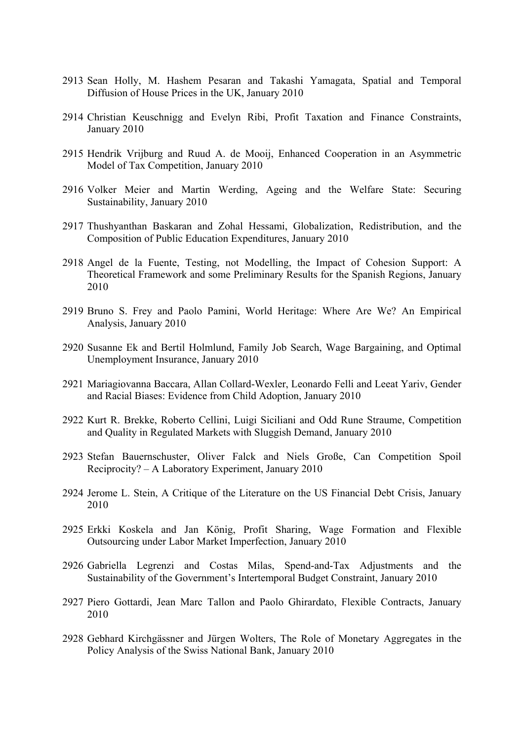- 2913 Sean Holly, M. Hashem Pesaran and Takashi Yamagata, Spatial and Temporal Diffusion of House Prices in the UK, January 2010
- 2914 Christian Keuschnigg and Evelyn Ribi, Profit Taxation and Finance Constraints, January 2010
- 2915 Hendrik Vrijburg and Ruud A. de Mooij, Enhanced Cooperation in an Asymmetric Model of Tax Competition, January 2010
- 2916 Volker Meier and Martin Werding, Ageing and the Welfare State: Securing Sustainability, January 2010
- 2917 Thushyanthan Baskaran and Zohal Hessami, Globalization, Redistribution, and the Composition of Public Education Expenditures, January 2010
- 2918 Angel de la Fuente, Testing, not Modelling, the Impact of Cohesion Support: A Theoretical Framework and some Preliminary Results for the Spanish Regions, January 2010
- 2919 Bruno S. Frey and Paolo Pamini, World Heritage: Where Are We? An Empirical Analysis, January 2010
- 2920 Susanne Ek and Bertil Holmlund, Family Job Search, Wage Bargaining, and Optimal Unemployment Insurance, January 2010
- 2921 Mariagiovanna Baccara, Allan Collard-Wexler, Leonardo Felli and Leeat Yariv, Gender and Racial Biases: Evidence from Child Adoption, January 2010
- 2922 Kurt R. Brekke, Roberto Cellini, Luigi Siciliani and Odd Rune Straume, Competition and Quality in Regulated Markets with Sluggish Demand, January 2010
- 2923 Stefan Bauernschuster, Oliver Falck and Niels Große, Can Competition Spoil Reciprocity? – A Laboratory Experiment, January 2010
- 2924 Jerome L. Stein, A Critique of the Literature on the US Financial Debt Crisis, January 2010
- 2925 Erkki Koskela and Jan König, Profit Sharing, Wage Formation and Flexible Outsourcing under Labor Market Imperfection, January 2010
- 2926 Gabriella Legrenzi and Costas Milas, Spend-and-Tax Adjustments and the Sustainability of the Government's Intertemporal Budget Constraint, January 2010
- 2927 Piero Gottardi, Jean Marc Tallon and Paolo Ghirardato, Flexible Contracts, January 2010
- 2928 Gebhard Kirchgässner and Jürgen Wolters, The Role of Monetary Aggregates in the Policy Analysis of the Swiss National Bank, January 2010